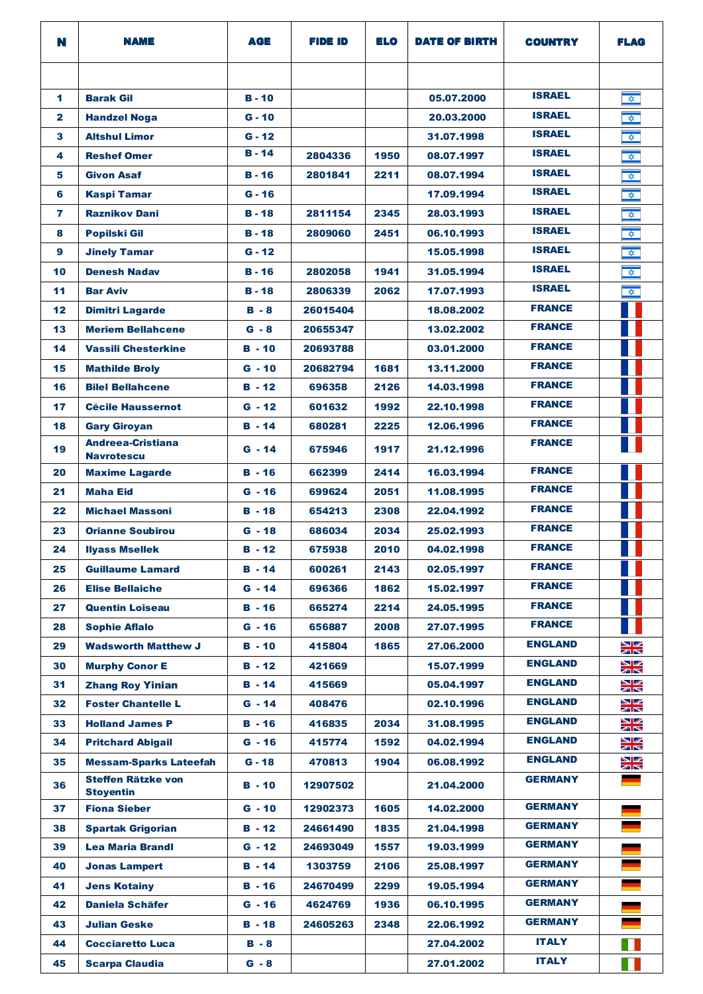| N               | <b>NAME</b>                                   | AGE           | FIDE ID  | ELO  | <b>DATE OF BIRTH</b> | <b>COUNTRY</b> | <b>FLAG</b>          |
|-----------------|-----------------------------------------------|---------------|----------|------|----------------------|----------------|----------------------|
|                 |                                               |               |          |      |                      |                |                      |
| 1               | <b>Barak Gil</b>                              | $B - 10$      |          |      | 05.07.2000           | <b>ISRAEL</b>  | $\hat{\mathbf{v}}$   |
| $\mathbf{2}$    | <b>Handzel Noga</b>                           | $G - 10$      |          |      | 20.03.2000           | <b>ISRAEL</b>  | $\hat{\nabla}$       |
| 3               | <b>Altshul Limor</b>                          | $G - 12$      |          |      | 31.07.1998           | <b>ISRAEL</b>  | $\hat{\mathbf{v}}$   |
| 4               | <b>Reshef Omer</b>                            | $B - 14$      | 2804336  | 1950 | 08.07.1997           | <b>ISRAEL</b>  | $\frac{1}{\sqrt{2}}$ |
| 5               | <b>Givon Asaf</b>                             | $B - 16$      | 2801841  | 2211 | 08.07.1994           | <b>ISRAEL</b>  | $\frac{1}{\sqrt{2}}$ |
| 6               | <b>Kaspi Tamar</b>                            | $G - 16$      |          |      | 17.09.1994           | <b>ISRAEL</b>  | $\hat{\mathbf{v}}$   |
| 7               | <b>Raznikov Dani</b>                          | <b>B</b> - 18 | 2811154  | 2345 | 28.03.1993           | <b>ISRAEL</b>  | $\hat{\mathbf{v}}$   |
| 8               | <b>Popilski Gil</b>                           | $B - 18$      | 2809060  | 2451 | 06.10.1993           | <b>ISRAEL</b>  | $\frac{1}{\sqrt{2}}$ |
| 9               | <b>Jinely Tamar</b>                           | $G - 12$      |          |      | 15.05.1998           | <b>ISRAEL</b>  | $\hat{\mathbf{v}}$   |
| 10              | <b>Denesh Nadav</b>                           | <b>B</b> - 16 | 2802058  | 1941 | 31.05.1994           | <b>ISRAEL</b>  | $\hat{\mathbf{v}}$   |
| 11              | <b>Bar Aviv</b>                               | <b>B</b> - 18 | 2806339  | 2062 | 17.07.1993           | <b>ISRAEL</b>  | $\hat{\mathbf{v}}$   |
| 12              | <b>Dimitri Lagarde</b>                        | $B - 8$       | 26015404 |      | 18.08.2002           | <b>FRANCE</b>  |                      |
| 13              | <b>Meriem Bellahcene</b>                      | $G - 8$       | 20655347 |      | 13.02.2002           | <b>FRANCE</b>  |                      |
| 14              | <b>Vassili Chesterkine</b>                    | $B - 10$      | 20693788 |      | 03.01.2000           | <b>FRANCE</b>  |                      |
| 15              | <b>Mathilde Broly</b>                         | $G - 10$      | 20682794 | 1681 | 13.11.2000           | <b>FRANCE</b>  |                      |
| 16              | <b>Bilel Bellahcene</b>                       | $B - 12$      | 696358   | 2126 | 14.03.1998           | <b>FRANCE</b>  |                      |
| 17              | <b>Cécile Haussernot</b>                      | $G - 12$      | 601632   | 1992 | 22.10.1998           | <b>FRANCE</b>  |                      |
| 18              | <b>Gary Giroyan</b>                           | $B - 14$      | 680281   | 2225 | 12.06.1996           | <b>FRANCE</b>  |                      |
| 19              | <b>Andreea-Cristiana</b><br><b>Navrotescu</b> | $G - 14$      | 675946   | 1917 | 21.12.1996           | <b>FRANCE</b>  |                      |
| 20              | <b>Maxime Lagarde</b>                         | $B - 16$      | 662399   | 2414 | 16.03.1994           | <b>FRANCE</b>  |                      |
| 21              | <b>Maha Eid</b>                               | $G - 16$      | 699624   | 2051 | 11.08.1995           | <b>FRANCE</b>  |                      |
| 22              | <b>Michael Massoni</b>                        | <b>B</b> - 18 | 654213   | 2308 | 22.04.1992           | <b>FRANCE</b>  |                      |
| 23              | <b>Orianne Soubirou</b>                       | $G - 18$      | 686034   | 2034 | 25.02.1993           | <b>FRANCE</b>  |                      |
| 24              | <b>Ilyass Msellek</b>                         | $B - 12$      | 675938   | 2010 | 04.02.1998           | <b>FRANCE</b>  | <b>The Company</b>   |
| 25              | <b>Guillaume Lamard</b>                       | <b>B</b> - 14 | 600261   | 2143 | 02.05.1997           | <b>FRANCE</b>  |                      |
| 26              | <b>Elise Bellaiche</b>                        | $G - 14$      | 696366   | 1862 | 15.02.1997           | <b>FRANCE</b>  |                      |
| 27              | <b>Quentin Loiseau</b>                        | $B - 16$      | 665274   | 2214 | 24.05.1995           | <b>FRANCE</b>  |                      |
| 28              | <b>Sophie Aflalo</b>                          | $G - 16$      | 656887   | 2008 | 27.07.1995           | <b>FRANCE</b>  |                      |
| 29              | <b>Wadsworth Matthew J</b>                    | $B - 10$      | 415804   | 1865 | 27,06,2000           | <b>ENGLAND</b> | ∐∠<br>$\times$       |
| 30              | <b>Murphy Conor E</b>                         | $B - 12$      | 421669   |      | 15.07.1999           | <b>ENGLAND</b> | VZ<br>ZK             |
| 31              | <b>Zhang Roy Yinian</b>                       | $B - 14$      | 415669   |      | 05.04.1997           | <b>ENGLAND</b> | ▧<br>$\times$        |
| 32              | <b>Foster Chantelle L</b>                     | $G - 14$      | 408476   |      | 02.10.1996           | <b>ENGLAND</b> | ॼØ<br>$\times$       |
| 33 <sub>°</sub> | <b>Holland James P</b>                        | $B - 16$      | 416835   | 2034 | 31.08.1995           | <b>ENGLAND</b> | ◥<br>$\times$        |
| 34              | <b>Pritchard Abigail</b>                      | $G - 16$      | 415774   | 1592 | 04.02.1994           | <b>ENGLAND</b> | VZ<br>ZK             |
| 35              | <b>Messam-Sparks Lateefah</b>                 | $G - 18$      | 470813   | 1904 | 06.08.1992           | <b>ENGLAND</b> | XK                   |
| 36              | <b>Steffen Rätzke von</b><br><b>Stoyentin</b> | <b>B</b> - 10 | 12907502 |      | 21.04.2000           | <b>GERMANY</b> |                      |
| 37              | <b>Fiona Sieber</b>                           | $G - 10$      | 12902373 | 1605 | 14.02.2000           | <b>GERMANY</b> |                      |
| 38              | <b>Spartak Grigorian</b>                      | $B - 12$      | 24661490 | 1835 | 21.04.1998           | <b>GERMANY</b> |                      |
| 39              | <b>Lea Maria Brandl</b>                       | $G - 12$      | 24693049 | 1557 | 19.03.1999           | <b>GERMANY</b> |                      |
| 40              | <b>Jonas Lampert</b>                          | <b>B</b> - 14 | 1303759  | 2106 | 25.08.1997           | <b>GERMANY</b> |                      |
| 41              | <b>Jens Kotainy</b>                           | <b>B</b> - 16 | 24670499 | 2299 | 19.05.1994           | <b>GERMANY</b> |                      |
| 42              | <b>Daniela Schäfer</b>                        | $G - 16$      | 4624769  | 1936 | 06.10.1995           | <b>GERMANY</b> |                      |
| 43              | <b>Julian Geske</b>                           | $B - 18$      | 24605263 | 2348 | 22.06.1992           | <b>GERMANY</b> |                      |
| 44              | <b>Cocciaretto Luca</b>                       | B - 8         |          |      | 27.04.2002           | <b>ITALY</b>   | H                    |
| 45              | <b>Scarpa Claudia</b>                         | $G - 8$       |          |      | 27.01.2002           | <b>ITALY</b>   |                      |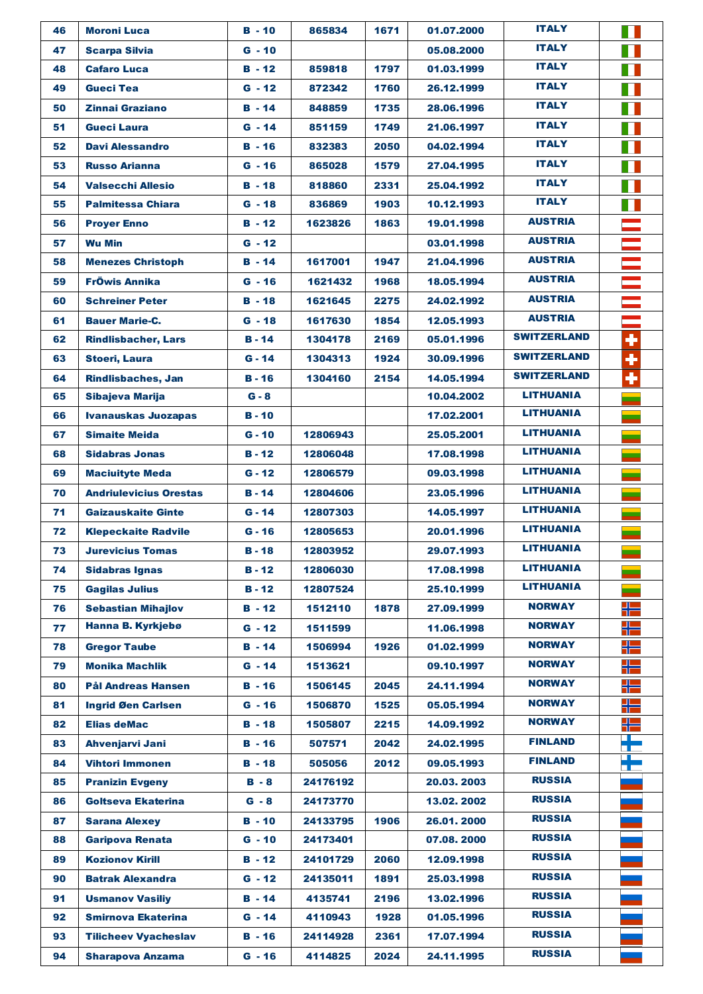| 46 | <b>Moroni Luca</b>            | $B - 10$      | 865834   | 1671 | 01.07.2000 | <b>ITALY</b>       | a k  |
|----|-------------------------------|---------------|----------|------|------------|--------------------|------|
| 47 | <b>Scarpa Silvia</b>          | $G - 10$      |          |      | 05.08.2000 | <b>ITALY</b>       | П    |
| 48 | <b>Cafaro Luca</b>            | $B - 12$      | 859818   | 1797 | 01.03.1999 | <b>ITALY</b>       | T.   |
| 49 | <b>Gueci Tea</b>              | $G - 12$      | 872342   | 1760 | 26.12.1999 | <b>ITALY</b>       | H    |
| 50 | <b>Zinnai Graziano</b>        | $B - 14$      | 848859   | 1735 | 28.06.1996 | <b>ITALY</b>       | T    |
| 51 | Gueci Laura                   | $G - 14$      | 851159   | 1749 | 21.06.1997 | <b>ITALY</b>       |      |
| 52 | <b>Davi Alessandro</b>        | $B - 16$      | 832383   | 2050 | 04.02.1994 | <b>ITALY</b>       | H    |
| 53 | <b>Russo Arianna</b>          | $G - 16$      | 865028   | 1579 | 27.04.1995 | <b>ITALY</b>       | T    |
| 54 | <b>Valsecchi Allesio</b>      | $B - 18$      | 818860   | 2331 | 25.04.1992 | <b>ITALY</b>       | П    |
| 55 | <b>Palmitessa Chiara</b>      | $G - 18$      | 836869   | 1903 | 10.12.1993 | <b>ITALY</b>       |      |
| 56 | <b>Proyer Enno</b>            | $B - 12$      | 1623826  | 1863 | 19.01.1998 | <b>AUSTRIA</b>     |      |
| 57 | <b>Wu Min</b>                 | $G - 12$      |          |      | 03.01.1998 | <b>AUSTRIA</b>     |      |
| 58 | <b>Menezes Christoph</b>      | $B - 14$      | 1617001  | 1947 | 21.04.1996 | <b>AUSTRIA</b>     |      |
| 59 | <b>FrÖwis Annika</b>          | $G - 16$      | 1621432  | 1968 | 18.05.1994 | <b>AUSTRIA</b>     |      |
| 60 | <b>Schreiner Peter</b>        | $B - 18$      | 1621645  | 2275 | 24.02.1992 | <b>AUSTRIA</b>     |      |
| 61 | <b>Bauer Marie-C.</b>         | $G - 18$      | 1617630  | 1854 | 12.05.1993 | <b>AUSTRIA</b>     |      |
| 62 | <b>Rindlisbacher, Lars</b>    | $B - 14$      | 1304178  | 2169 | 05.01.1996 | <b>SWITZERLAND</b> | ÷    |
| 63 | <b>Stoeri, Laura</b>          | $G - 14$      | 1304313  | 1924 | 30.09.1996 | <b>SWITZERLAND</b> | ٠    |
| 64 | <b>Rindlisbaches, Jan</b>     | $B - 16$      | 1304160  | 2154 | 14.05.1994 | <b>SWITZERLAND</b> | ٠    |
| 65 | Sibajeva Marija               | $G - 8$       |          |      | 10.04.2002 | <b>LITHUANIA</b>   |      |
| 66 | <b>Ivanauskas Juozapas</b>    | $B - 10$      |          |      | 17.02.2001 | <b>LITHUANIA</b>   |      |
| 67 | <b>Simaite Meida</b>          | $G - 10$      | 12806943 |      | 25.05.2001 | <b>LITHUANIA</b>   |      |
| 68 | <b>Sidabras Jonas</b>         | <b>B</b> - 12 | 12806048 |      | 17.08.1998 | <b>LITHUANIA</b>   |      |
| 69 | <b>Maciuityte Meda</b>        | $G - 12$      | 12806579 |      | 09.03.1998 | <b>LITHUANIA</b>   |      |
| 70 | <b>Andriulevicius Orestas</b> | $B - 14$      | 12804606 |      | 23.05.1996 | <b>LITHUANIA</b>   |      |
| 71 | <b>Gaizauskaite Ginte</b>     | $G - 14$      | 12807303 |      | 14.05.1997 | <b>LITHUANIA</b>   |      |
| 72 | <b>Klepeckaite Radvile</b>    | $G - 16$      | 12805653 |      | 20.01.1996 | <b>LITHUANIA</b>   |      |
| 73 | <b>Jurevicius Tomas</b>       | $B - 18$      | 12803952 |      | 29.07.1993 | <b>LITHUANIA</b>   |      |
| 74 | <b>Sidabras Ignas</b>         | $B - 12$      | 12806030 |      | 17.08.1998 | LITHUANIA          |      |
| 75 | <b>Gagilas Julius</b>         | <b>B</b> - 12 | 12807524 |      | 25.10.1999 | LITHUANIA          |      |
| 76 | <b>Sebastian Mihajlov</b>     | $B - 12$      | 1512110  | 1878 | 27.09.1999 | <b>NORWAY</b>      | ╬    |
| 77 | Hanna B. Kyrkjebø             | $G - 12$      | 1511599  |      | 11.06.1998 | <b>NORWAY</b>      | ╬═   |
| 78 | <b>Gregor Taube</b>           | $B - 14$      | 1506994  | 1926 | 01.02.1999 | <b>NORWAY</b>      | ╬═   |
| 79 | <b>Monika Machlik</b>         | $G - 14$      | 1513621  |      | 09.10.1997 | <b>NORWAY</b>      | ╬═   |
| 80 | <b>Pål Andreas Hansen</b>     | $B - 16$      | 1506145  | 2045 | 24.11.1994 | <b>NORWAY</b>      | ╬═   |
| 81 | <b>Ingrid Øen Carlsen</b>     | $G - 16$      | 1506870  | 1525 | 05.05.1994 | <b>NORWAY</b>      | ╬═   |
| 82 | <b>Elias deMac</b>            | $B - 18$      | 1505807  | 2215 | 14.09.1992 | <b>NORWAY</b>      | ╬═   |
| 83 | Ahvenjarvi Jani               | <b>B</b> - 16 | 507571   | 2042 | 24.02.1995 | <b>FINLAND</b>     | ┰    |
| 84 | <b>Vihtori Immonen</b>        | $B - 18$      | 505056   | 2012 | 09.05.1993 | <b>FINLAND</b>     | a po |
| 85 | <b>Pranizin Evgeny</b>        | $B - 8$       | 24176192 |      | 20.03.2003 | <b>RUSSIA</b>      |      |
| 86 | Goltseva Ekaterina            | $G - 8$       | 24173770 |      | 13.02.2002 | <b>RUSSIA</b>      |      |
| 87 | <b>Sarana Alexey</b>          | $B - 10$      | 24133795 | 1906 | 26.01.2000 | <b>RUSSIA</b>      |      |
| 88 | <b>Garipova Renata</b>        | $G - 10$      | 24173401 |      | 07.08.2000 | <b>RUSSIA</b>      |      |
| 89 | <b>Kozionov Kirill</b>        | $B - 12$      | 24101729 | 2060 | 12.09.1998 | <b>RUSSIA</b>      |      |
| 90 | <b>Batrak Alexandra</b>       | $G - 12$      | 24135011 | 1891 | 25.03.1998 | <b>RUSSIA</b>      |      |
| 91 | <b>Usmanov Vasiliy</b>        | $B - 14$      | 4135741  | 2196 | 13.02.1996 | <b>RUSSIA</b>      |      |
| 92 | <b>Smirnova Ekaterina</b>     | $G - 14$      | 4110943  | 1928 | 01.05.1996 | <b>RUSSIA</b>      |      |
| 93 | <b>Tilicheev Vyacheslav</b>   | $B - 16$      | 24114928 | 2361 | 17.07.1994 | <b>RUSSIA</b>      |      |
| 94 | <b>Sharapova Anzama</b>       | $G - 16$      | 4114825  | 2024 | 24.11.1995 | <b>RUSSIA</b>      |      |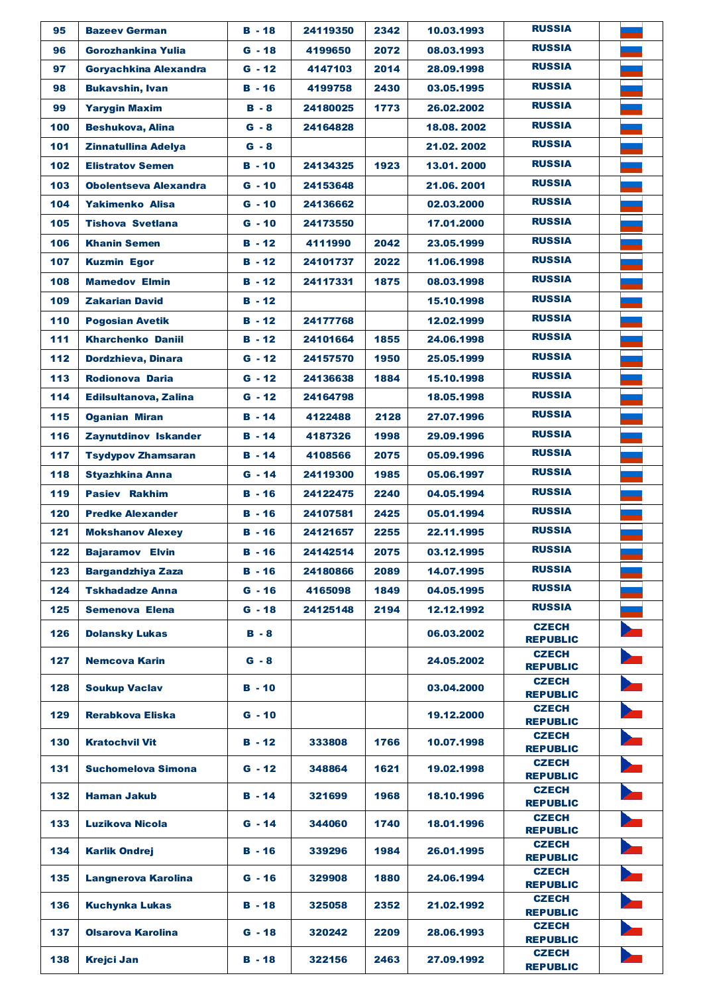| 95  | <b>Bazeev German</b>         | $B - 18$ | 24119350 | 2342 | 10.03.1993 | <b>RUSSIA</b>                   |  |
|-----|------------------------------|----------|----------|------|------------|---------------------------------|--|
| 96  | Gorozhankina Yulia           | $G - 18$ | 4199650  | 2072 | 08.03.1993 | <b>RUSSIA</b>                   |  |
| 97  | Goryachkina Alexandra        | $G - 12$ | 4147103  | 2014 | 28.09.1998 | <b>RUSSIA</b>                   |  |
| 98  | <b>Bukavshin, Ivan</b>       | $B - 16$ | 4199758  | 2430 | 03.05.1995 | <b>RUSSIA</b>                   |  |
| 99  | <b>Yarygin Maxim</b>         | $B - 8$  | 24180025 | 1773 | 26.02.2002 | <b>RUSSIA</b>                   |  |
| 100 | <b>Beshukova, Alina</b>      | $G - 8$  | 24164828 |      | 18.08.2002 | <b>RUSSIA</b>                   |  |
| 101 | <b>Zinnatullina Adelya</b>   | $G - 8$  |          |      | 21.02.2002 | <b>RUSSIA</b>                   |  |
| 102 | <b>Elistratov Semen</b>      | $B - 10$ | 24134325 | 1923 | 13.01.2000 | <b>RUSSIA</b>                   |  |
| 103 | <b>Obolentseva Alexandra</b> | $G - 10$ | 24153648 |      | 21.06.2001 | <b>RUSSIA</b>                   |  |
| 104 | <b>Yakimenko Alisa</b>       | $G - 10$ | 24136662 |      | 02.03.2000 | <b>RUSSIA</b>                   |  |
| 105 | <b>Tishova Svetlana</b>      | $G - 10$ | 24173550 |      | 17.01.2000 | <b>RUSSIA</b>                   |  |
| 106 | <b>Khanin Semen</b>          | $B - 12$ | 4111990  | 2042 | 23.05.1999 | <b>RUSSIA</b>                   |  |
| 107 | <b>Kuzmin Egor</b>           | $B - 12$ | 24101737 | 2022 | 11.06.1998 | <b>RUSSIA</b>                   |  |
| 108 | <b>Mamedov Elmin</b>         | $B - 12$ | 24117331 | 1875 | 08.03.1998 | <b>RUSSIA</b>                   |  |
| 109 | <b>Zakarian David</b>        | $B - 12$ |          |      | 15.10.1998 | <b>RUSSIA</b>                   |  |
| 110 | <b>Pogosian Avetik</b>       | $B - 12$ | 24177768 |      | 12.02.1999 | <b>RUSSIA</b>                   |  |
| 111 | <b>Kharchenko Daniil</b>     | $B - 12$ | 24101664 | 1855 | 24.06.1998 | <b>RUSSIA</b>                   |  |
| 112 | Dordzhieva, Dinara           | $G - 12$ | 24157570 | 1950 | 25.05.1999 | <b>RUSSIA</b>                   |  |
| 113 | <b>Rodionova Daria</b>       | $G - 12$ | 24136638 | 1884 | 15.10.1998 | <b>RUSSIA</b>                   |  |
| 114 | Edilsultanova, Zalina        | $G - 12$ | 24164798 |      | 18.05.1998 | <b>RUSSIA</b>                   |  |
| 115 | <b>Oganian Miran</b>         | $B - 14$ | 4122488  | 2128 | 27.07.1996 | <b>RUSSIA</b>                   |  |
| 116 | Zaynutdinov Iskander         | $B - 14$ | 4187326  | 1998 | 29.09.1996 | <b>RUSSIA</b>                   |  |
| 117 | <b>Tsydypov Zhamsaran</b>    | $B - 14$ | 4108566  | 2075 | 05.09.1996 | <b>RUSSIA</b>                   |  |
| 118 | <b>Styazhkina Anna</b>       | $G - 14$ | 24119300 | 1985 | 05.06.1997 | <b>RUSSIA</b>                   |  |
| 119 | <b>Pasiev Rakhim</b>         | $B - 16$ | 24122475 | 2240 | 04.05.1994 | <b>RUSSIA</b>                   |  |
| 120 | <b>Predke Alexander</b>      | $B - 16$ | 24107581 | 2425 | 05.01.1994 | <b>RUSSIA</b>                   |  |
| 121 | <b>Mokshanov Alexey</b>      | $B - 16$ | 24121657 | 2255 | 22.11.1995 | <b>RUSSIA</b>                   |  |
| 122 | <b>Bajaramov Elvin</b>       | В - 16   | 24142514 | 2075 | 03.12.1995 | <b>RUSSIA</b>                   |  |
| 123 | <b>Bargandzhiya Zaza</b>     | $B - 16$ | 24180866 | 2089 | 14.07.1995 | <b>RUSSIA</b>                   |  |
| 124 | <b>Tskhadadze Anna</b>       | $G - 16$ | 4165098  | 1849 | 04.05.1995 | <b>RUSSIA</b>                   |  |
| 125 | <b>Semenova Elena</b>        | $G - 18$ | 24125148 | 2194 | 12.12.1992 | <b>RUSSIA</b>                   |  |
| 126 | <b>Dolansky Lukas</b>        | $B - 8$  |          |      | 06.03.2002 | <b>CZECH</b><br><b>REPUBLIC</b> |  |
| 127 | <b>Nemcova Karin</b>         | $G - 8$  |          |      | 24.05.2002 | <b>CZECH</b><br><b>REPUBLIC</b> |  |
|     |                              |          |          |      |            | <b>CZECH</b>                    |  |
| 128 | <b>Soukup Vaclav</b>         | $B - 10$ |          |      | 03.04.2000 | <b>REPUBLIC</b>                 |  |
| 129 | Rerabkova Eliska             | $G - 10$ |          |      | 19.12.2000 | <b>CZECH</b><br><b>REPUBLIC</b> |  |
| 130 | <b>Kratochvil Vit</b>        | B - 12   | 333808   | 1766 | 10.07.1998 | <b>CZECH</b><br><b>REPUBLIC</b> |  |
| 131 | <b>Suchomelova Simona</b>    | $G - 12$ | 348864   | 1621 | 19.02.1998 | <b>CZECH</b><br><b>REPUBLIC</b> |  |
| 132 | <b>Haman Jakub</b>           | $B - 14$ | 321699   | 1968 | 18.10.1996 | <b>CZECH</b><br><b>REPUBLIC</b> |  |
| 133 | Luzikova Nicola              | $G - 14$ | 344060   | 1740 | 18.01.1996 | <b>CZECH</b><br><b>REPUBLIC</b> |  |
| 134 | <b>Karlik Ondrej</b>         | B - 16   | 339296   | 1984 | 26.01.1995 | <b>CZECH</b><br><b>REPUBLIC</b> |  |
| 135 | Langnerova Karolina          | $G - 16$ | 329908   | 1880 | 24.06.1994 | <b>CZECH</b><br><b>REPUBLIC</b> |  |
| 136 | <b>Kuchynka Lukas</b>        | B - 18   | 325058   | 2352 | 21.02.1992 | <b>CZECH</b><br><b>REPUBLIC</b> |  |
| 137 | <b>Olsarova Karolina</b>     | $G - 18$ | 320242   | 2209 | 28.06.1993 | <b>CZECH</b><br><b>REPUBLIC</b> |  |
| 138 | <b>Krejci Jan</b>            | $B - 18$ | 322156   | 2463 | 27.09.1992 | <b>CZECH</b><br><b>REPUBLIC</b> |  |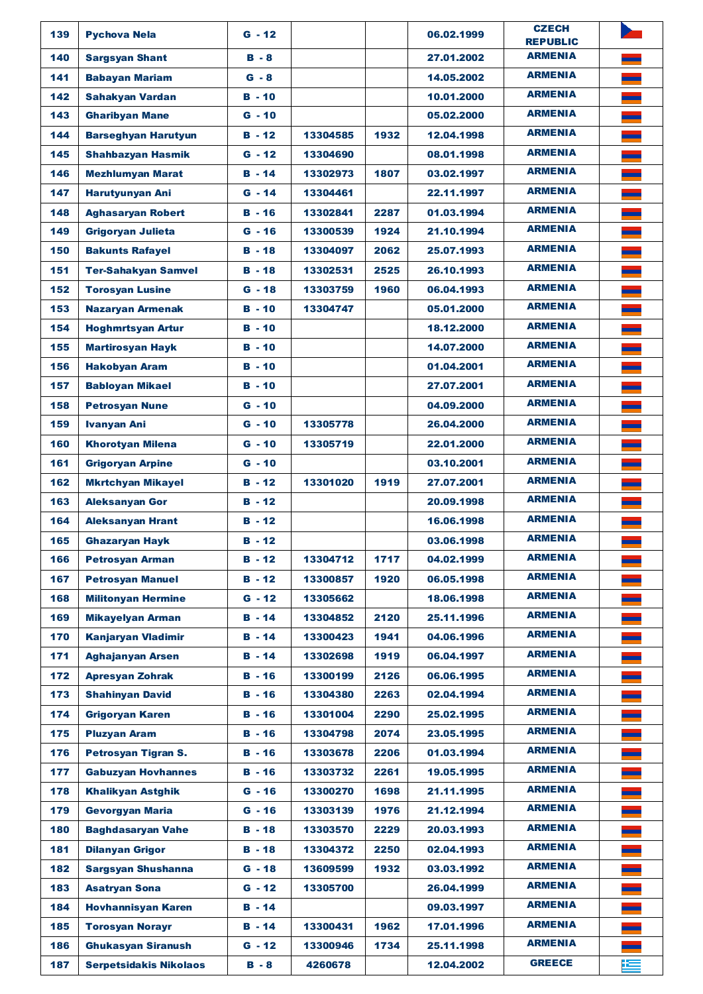| 139 | <b>Pychova Nela</b>                                  | $G - 12$      |          |      | 06.02.1999               | <b>CZECH</b><br><b>REPUBLIC</b> |   |
|-----|------------------------------------------------------|---------------|----------|------|--------------------------|---------------------------------|---|
| 140 | <b>Sargsyan Shant</b>                                | $B - 8$       |          |      | 27.01.2002               | <b>ARMENIA</b>                  |   |
| 141 | <b>Babayan Mariam</b>                                | $G - 8$       |          |      | 14.05.2002               | <b>ARMENIA</b>                  |   |
| 142 | <b>Sahakyan Vardan</b>                               | $B - 10$      |          |      | 10.01.2000               | <b>ARMENIA</b>                  |   |
| 143 | <b>Gharibyan Mane</b>                                | $G - 10$      |          |      | 05.02.2000               | <b>ARMENIA</b>                  |   |
| 144 | <b>Barseghyan Harutyun</b>                           | $B - 12$      | 13304585 | 1932 | 12.04.1998               | <b>ARMENIA</b>                  |   |
| 145 | <b>Shahbazyan Hasmik</b>                             | $G - 12$      | 13304690 |      | 08.01.1998               | <b>ARMENIA</b>                  |   |
| 146 | <b>Mezhlumyan Marat</b>                              | $B - 14$      | 13302973 | 1807 | 03.02.1997               | <b>ARMENIA</b>                  |   |
| 147 | <b>Harutyunyan Ani</b>                               | $G - 14$      | 13304461 |      | 22.11.1997               | <b>ARMENIA</b>                  |   |
| 148 | <b>Aghasaryan Robert</b>                             | $B - 16$      | 13302841 | 2287 | 01.03.1994               | <b>ARMENIA</b>                  |   |
| 149 | <b>Grigoryan Julieta</b>                             | $G - 16$      | 13300539 | 1924 | 21.10.1994               | <b>ARMENIA</b>                  |   |
| 150 | <b>Bakunts Rafayel</b>                               | $B - 18$      | 13304097 | 2062 | 25.07.1993               | <b>ARMENIA</b>                  |   |
| 151 | <b>Ter-Sahakyan Samvel</b>                           | $B - 18$      | 13302531 | 2525 | 26.10.1993               | <b>ARMENIA</b>                  |   |
| 152 | <b>Torosyan Lusine</b>                               | $G - 18$      | 13303759 | 1960 | 06.04.1993               | <b>ARMENIA</b>                  |   |
| 153 | <b>Nazaryan Armenak</b>                              | $B - 10$      | 13304747 |      | 05.01.2000               | <b>ARMENIA</b>                  |   |
| 154 | <b>Hoghmrtsyan Artur</b>                             | $B - 10$      |          |      | 18.12.2000               | <b>ARMENIA</b>                  |   |
| 155 | <b>Martirosyan Hayk</b>                              | $B - 10$      |          |      | 14.07.2000               | <b>ARMENIA</b>                  |   |
| 156 | <b>Hakobyan Aram</b>                                 | $B - 10$      |          |      | 01.04.2001               | <b>ARMENIA</b>                  |   |
| 157 | <b>Babloyan Mikael</b>                               | B - 10        |          |      | 27.07.2001               | <b>ARMENIA</b>                  |   |
| 158 | <b>Petrosyan Nune</b>                                | $G - 10$      |          |      | 04.09.2000               | <b>ARMENIA</b>                  |   |
| 159 | <b>Ivanyan Ani</b>                                   | $G - 10$      | 13305778 |      | 26,04,2000               | <b>ARMENIA</b>                  |   |
| 160 | <b>Khorotyan Milena</b>                              | $G - 10$      | 13305719 |      | 22.01.2000               | <b>ARMENIA</b>                  |   |
| 161 | <b>Grigoryan Arpine</b>                              | $G - 10$      |          |      | 03.10.2001               | <b>ARMENIA</b>                  |   |
| 162 | <b>Mkrtchyan Mikayel</b>                             | $B - 12$      | 13301020 | 1919 | 27.07.2001               | <b>ARMENIA</b>                  |   |
| 163 | <b>Aleksanyan Gor</b>                                | $B - 12$      |          |      | 20.09.1998               | <b>ARMENIA</b>                  |   |
| 164 | <b>Aleksanyan Hrant</b>                              | $B - 12$      |          |      | 16.06.1998               | <b>ARMENIA</b>                  |   |
| 165 |                                                      | $B - 12$      |          |      | 03.06.1998               | <b>ARMENIA</b>                  |   |
| 166 | <b>Ghazaryan Hayk</b><br><b>Petrosyan Arman</b>      | $B - 12$      | 13304712 | 1717 | 04.02.1999               | <b>ARMENIA</b>                  |   |
| 167 |                                                      | $B - 12$      | 13300857 | 1920 |                          | <b>ARMENIA</b>                  |   |
| 168 | <b>Petrosyan Manuel</b>                              | $G - 12$      | 13305662 |      | 06.05.1998<br>18.06.1998 | <b>ARMENIA</b>                  |   |
| 169 | <b>Militonyan Hermine</b><br><b>Mikayelyan Arman</b> | $B - 14$      | 13304852 | 2120 | 25.11.1996               | <b>ARMENIA</b>                  |   |
| 170 | <b>Kaniarvan Vladimir</b>                            | $B - 14$      | 13300423 | 1941 | 04.06.1996               | <b>ARMENIA</b>                  |   |
|     |                                                      |               |          |      |                          | <b>ARMENIA</b>                  |   |
| 171 | <b>Aghajanyan Arsen</b>                              | $B - 14$      | 13302698 | 1919 | 06.04.1997               | <b>ARMENIA</b>                  |   |
| 172 | <b>Apresyan Zohrak</b>                               | $B - 16$      | 13300199 | 2126 | 06.06.1995               | <b>ARMENIA</b>                  |   |
| 173 | <b>Shahinyan David</b>                               | <b>B</b> - 16 | 13304380 | 2263 | 02.04.1994               | <b>ARMENIA</b>                  |   |
| 174 | <b>Grigoryan Karen</b>                               | $B - 16$      | 13301004 | 2290 | 25.02.1995               | <b>ARMENIA</b>                  |   |
| 175 | <b>Pluzyan Aram</b>                                  | $B - 16$      | 13304798 | 2074 | 23.05.1995               | <b>ARMENIA</b>                  |   |
| 176 | Petrosyan Tigran S.                                  | B - 16        | 13303678 | 2206 | 01.03.1994               |                                 |   |
| 177 | <b>Gabuzyan Hovhannes</b>                            | <b>B</b> - 16 | 13303732 | 2261 | 19.05.1995               | <b>ARMENIA</b>                  |   |
| 178 | <b>Khalikyan Astghik</b>                             | G - 16        | 13300270 | 1698 | 21.11.1995               | <b>ARMENIA</b>                  |   |
| 179 | <b>Gevorgyan Maria</b>                               | $G - 16$      | 13303139 | 1976 | 21.12.1994               | <b>ARMENIA</b>                  |   |
| 180 | <b>Baghdasaryan Vahe</b>                             | $B - 18$      | 13303570 | 2229 | 20.03.1993               | <b>ARMENIA</b>                  |   |
| 181 | <b>Dilanyan Grigor</b>                               | $B - 18$      | 13304372 | 2250 | 02.04.1993               | <b>ARMENIA</b>                  |   |
| 182 | Sargsyan Shushanna                                   | $G - 18$      | 13609599 | 1932 | 03.03.1992               | <b>ARMENIA</b>                  |   |
| 183 | <b>Asatryan Sona</b>                                 | $G - 12$      | 13305700 |      | 26.04.1999               | <b>ARMENIA</b>                  |   |
| 184 | <b>Hovhannisyan Karen</b>                            | $B - 14$      |          |      | 09.03.1997               | <b>ARMENIA</b>                  |   |
| 185 | <b>Torosyan Norayr</b>                               | $B - 14$      | 13300431 | 1962 | 17.01.1996               | <b>ARMENIA</b>                  |   |
| 186 | <b>Ghukasyan Siranush</b>                            | $G - 12$      | 13300946 | 1734 | 25.11.1998               | <b>ARMENIA</b>                  |   |
| 187 | <b>Serpetsidakis Nikolaos</b>                        | $B - 8$       | 4260678  |      | 12.04.2002               | <b>GREECE</b>                   | 年 |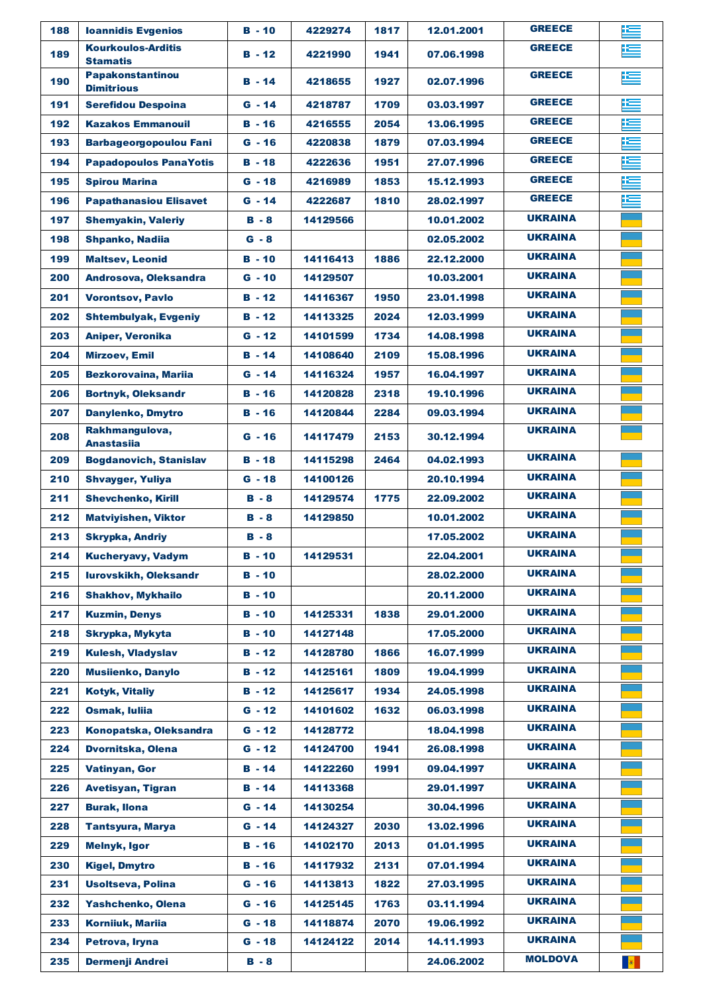| 188 | <b>Ioannidis Evgenios</b>                    | $B - 10$      | 4229274  | 1817 | 12.01.2001 | <b>GREECE</b>  | 垤         |
|-----|----------------------------------------------|---------------|----------|------|------------|----------------|-----------|
| 189 | <b>Kourkoulos-Arditis</b><br><b>Stamatis</b> | $B - 12$      | 4221990  | 1941 | 07.06.1998 | <b>GREECE</b>  | 垤         |
| 190 | <b>Papakonstantinou</b><br><b>Dimitrious</b> | $B - 14$      | 4218655  | 1927 | 02.07.1996 | <b>GREECE</b>  | 连         |
| 191 | <b>Serefidou Despoina</b>                    | $G - 14$      | 4218787  | 1709 | 03.03.1997 | <b>GREECE</b>  | 连         |
| 192 | <b>Kazakos Emmanouil</b>                     | B - 16        | 4216555  | 2054 | 13.06.1995 | <b>GREECE</b>  | 垤         |
| 193 | <b>Barbageorgopoulou Fani</b>                | $G - 16$      | 4220838  | 1879 | 07.03.1994 | <b>GREECE</b>  | 连         |
| 194 | <b>Papadopoulos PanaYotis</b>                | $B - 18$      | 4222636  | 1951 | 27.07.1996 | <b>GREECE</b>  | 医         |
| 195 | <b>Spirou Marina</b>                         | $G - 18$      | 4216989  | 1853 | 15.12.1993 | <b>GREECE</b>  | 运         |
| 196 | <b>Papathanasiou Elisavet</b>                | $G - 14$      | 4222687  | 1810 | 28.02.1997 | <b>GREECE</b>  | 连         |
| 197 | <b>Shemyakin, Valeriy</b>                    | $B - 8$       | 14129566 |      | 10.01.2002 | <b>UKRAINA</b> |           |
| 198 | <b>Shpanko, Nadija</b>                       | $G - 8$       |          |      | 02.05.2002 | <b>UKRAINA</b> |           |
| 199 | <b>Maltsev, Leonid</b>                       | $B - 10$      | 14116413 | 1886 | 22.12.2000 | <b>UKRAINA</b> |           |
| 200 | Androsova, Oleksandra                        | $G - 10$      | 14129507 |      | 10.03.2001 | <b>UKRAINA</b> |           |
| 201 | <b>Vorontsov, Pavlo</b>                      | $B - 12$      | 14116367 | 1950 | 23.01.1998 | <b>UKRAINA</b> |           |
| 202 | <b>Shtembulyak, Evgeniy</b>                  | $B - 12$      | 14113325 | 2024 | 12.03.1999 | <b>UKRAINA</b> |           |
| 203 | <b>Aniper, Veronika</b>                      | $G - 12$      | 14101599 | 1734 | 14.08.1998 | <b>UKRAINA</b> |           |
| 204 | <b>Mirzoev, Emil</b>                         | $B - 14$      | 14108640 | 2109 | 15.08.1996 | <b>UKRAINA</b> |           |
| 205 | <b>Bezkorovaina, Mariia</b>                  | $G - 14$      | 14116324 | 1957 | 16.04.1997 | <b>UKRAINA</b> |           |
| 206 | <b>Bortnyk, Oleksandr</b>                    | $B - 16$      | 14120828 | 2318 | 19.10.1996 | <b>UKRAINA</b> |           |
| 207 | Danylenko, Dmytro                            | $B - 16$      | 14120844 | 2284 | 09.03.1994 | <b>UKRAINA</b> |           |
| 208 | Rakhmangulova,<br><b>Anastasiia</b>          | $G - 16$      | 14117479 | 2153 | 30.12.1994 | <b>UKRAINA</b> |           |
| 209 | <b>Bogdanovich, Stanislav</b>                | $B - 18$      | 14115298 | 2464 | 04.02.1993 | <b>UKRAINA</b> |           |
| 210 | <b>Shvayger, Yuliya</b>                      | $G - 18$      | 14100126 |      | 20.10.1994 | <b>UKRAINA</b> |           |
| 211 | <b>Shevchenko, Kirill</b>                    | $B - 8$       | 14129574 | 1775 | 22.09.2002 | <b>UKRAINA</b> |           |
| 212 | <b>Matviyishen, Viktor</b>                   | $B - 8$       | 14129850 |      | 10.01.2002 | <b>UKRAINA</b> |           |
| 213 | <b>Skrypka, Andriy</b>                       | $B - 8$       |          |      | 17.05.2002 | <b>UKRAINA</b> |           |
| 214 | <b>Kucheryavy, Vadym</b>                     | $B - 10$      | 14129531 |      | 22.04.2001 | <b>UKRAINA</b> |           |
| 215 | lurovskikh, Oleksandr                        | $B - 10$      |          |      | 28.02.2000 | <b>UKRAINA</b> |           |
| 216 | <b>Shakhov, Mykhailo</b>                     | $B - 10$      |          |      | 20.11.2000 | <b>UKRAINA</b> |           |
| 217 | <b>Kuzmin, Denys</b>                         | $B - 10$      | 14125331 | 1838 | 29.01.2000 | <b>UKRAINA</b> |           |
| 218 | Skrypka, Mykyta                              | $B - 10$      | 14127148 |      | 17.05.2000 | <b>UKRAINA</b> |           |
| 219 | <b>Kulesh, Vladyslav</b>                     | $B - 12$      | 14128780 | 1866 | 16.07.1999 | <b>UKRAINA</b> |           |
| 220 | <b>Musiienko, Danylo</b>                     | $B - 12$      | 14125161 | 1809 | 19.04.1999 | <b>UKRAINA</b> |           |
| 221 | <b>Kotyk, Vitaliy</b>                        | $B - 12$      | 14125617 | 1934 | 24.05.1998 | <b>UKRAINA</b> |           |
| 222 | <b>Osmak, Iuliia</b>                         | $G - 12$      | 14101602 | 1632 | 06.03.1998 | <b>UKRAINA</b> |           |
| 223 | Konopatska, Oleksandra                       | $G - 12$      | 14128772 |      | 18.04.1998 | <b>UKRAINA</b> |           |
| 224 | Dvornitska, Olena                            | $G - 12$      | 14124700 | 1941 | 26.08.1998 | <b>UKRAINA</b> |           |
| 225 | <b>Vatinyan, Gor</b>                         | $B - 14$      | 14122260 | 1991 | 09.04.1997 | <b>UKRAINA</b> |           |
| 226 | <b>Avetisyan, Tigran</b>                     | $B - 14$      | 14113368 |      | 29.01.1997 | <b>UKRAINA</b> |           |
| 227 | <b>Burak, Ilona</b>                          | $G - 14$      | 14130254 |      | 30.04.1996 | <b>UKRAINA</b> |           |
| 228 | <b>Tantsyura, Marya</b>                      | $G - 14$      | 14124327 | 2030 | 13.02.1996 | <b>UKRAINA</b> |           |
| 229 | Melnyk, Igor                                 | $B - 16$      | 14102170 | 2013 | 01.01.1995 | <b>UKRAINA</b> |           |
| 230 | <b>Kigel, Dmytro</b>                         | <b>B</b> - 16 | 14117932 | 2131 | 07.01.1994 | <b>UKRAINA</b> |           |
| 231 | <b>Usoltseva, Polina</b>                     | $G - 16$      | 14113813 | 1822 | 27.03.1995 | <b>UKRAINA</b> |           |
| 232 | Yashchenko, Olena                            | $G - 16$      | 14125145 | 1763 | 03.11.1994 | <b>UKRAINA</b> |           |
| 233 | <b>Korniiuk, Mariia</b>                      | $G - 18$      | 14118874 | 2070 | 19.06.1992 | <b>UKRAINA</b> |           |
| 234 | Petrova, Iryna                               | $G - 18$      | 14124122 | 2014 | 14.11.1993 | <b>UKRAINA</b> |           |
| 235 | <b>Dermenji Andrei</b>                       | $B - 8$       |          |      | 24.06.2002 | <b>MOLDOVA</b> | $\bullet$ |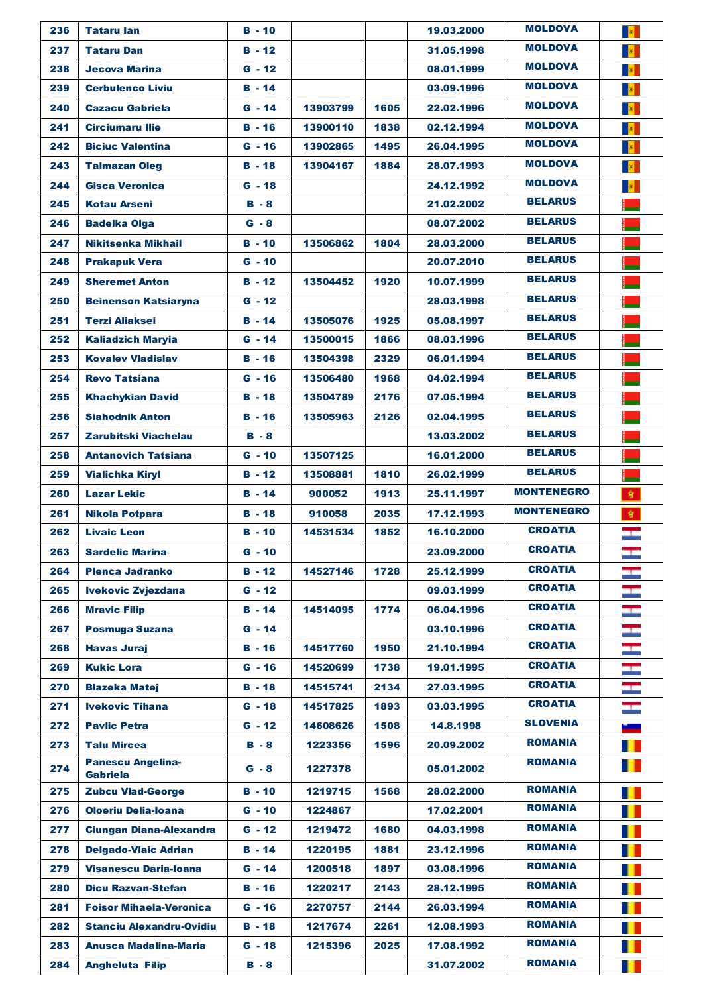| 236 | <b>Tataru lan</b>               | $B - 10$ |          |      | 19.03.2000 | <b>MOLDOVA</b>    |                                            |
|-----|---------------------------------|----------|----------|------|------------|-------------------|--------------------------------------------|
| 237 | <b>Tataru Dan</b>               | $B - 12$ |          |      | 31.05.1998 | <b>MOLDOVA</b>    | $\frac{1}{\sqrt{2}}$                       |
| 238 | <b>Jecova Marina</b>            | $G - 12$ |          |      | 08.01.1999 | <b>MOLDOVA</b>    | $\left\vert \hat{\mathbf{u}}\right\vert$ . |
| 239 | <b>Cerbulenco Liviu</b>         | $B - 14$ |          |      | 03.09.1996 | <b>MOLDOVA</b>    | $\frac{1}{\alpha}$                         |
| 240 | <b>Cazacu Gabriela</b>          | $G - 14$ | 13903799 | 1605 | 22.02.1996 | <b>MOLDOVA</b>    | $\langle \hat{\theta} \rangle$             |
| 241 | <b>Circiumaru Ilie</b>          | $B - 16$ | 13900110 | 1838 | 02.12.1994 | <b>MOLDOVA</b>    | $\left\vert \Psi \right\vert$ .            |
| 242 | <b>Biciuc Valentina</b>         | $G - 16$ | 13902865 | 1495 | 26.04.1995 | <b>MOLDOVA</b>    | $\langle \hat{\theta} \rangle$             |
| 243 | <b>Talmazan Oleg</b>            | $B - 18$ | 13904167 | 1884 | 28.07.1993 | <b>MOLDOVA</b>    | $\langle \hat{\theta} \rangle$             |
| 244 | <b>Gisca Veronica</b>           | $G - 18$ |          |      | 24.12.1992 | <b>MOLDOVA</b>    | $\frac{1}{\sqrt{2}}$                       |
| 245 | <b>Kotau Arseni</b>             | $B - 8$  |          |      | 21.02.2002 | <b>BELARUS</b>    |                                            |
| 246 | <b>Badelka Olga</b>             | $G - 8$  |          |      | 08.07.2002 | <b>BELARUS</b>    |                                            |
| 247 | Nikitsenka Mikhail              | $B - 10$ | 13506862 | 1804 | 28.03.2000 | <b>BELARUS</b>    |                                            |
| 248 | <b>Prakapuk Vera</b>            | $G - 10$ |          |      | 20.07.2010 | <b>BELARUS</b>    |                                            |
| 249 | <b>Sheremet Anton</b>           | $B - 12$ | 13504452 | 1920 | 10.07.1999 | <b>BELARUS</b>    |                                            |
| 250 | <b>Beinenson Katsiaryna</b>     | $G - 12$ |          |      | 28.03.1998 | <b>BELARUS</b>    |                                            |
| 251 | <b>Terzi Aliaksei</b>           | $B - 14$ | 13505076 | 1925 | 05.08.1997 | <b>BELARUS</b>    |                                            |
| 252 | <b>Kaliadzich Maryia</b>        | $G - 14$ | 13500015 | 1866 | 08.03.1996 | <b>BELARUS</b>    |                                            |
| 253 | <b>Kovalev Vladislav</b>        | $B - 16$ | 13504398 | 2329 | 06.01.1994 | <b>BELARUS</b>    |                                            |
| 254 | <b>Revo Tatsiana</b>            | $G - 16$ | 13506480 | 1968 | 04.02.1994 | <b>BELARUS</b>    |                                            |
| 255 | <b>Khachykian David</b>         | $B - 18$ | 13504789 | 2176 | 07.05.1994 | <b>BELARUS</b>    |                                            |
| 256 | <b>Siahodnik Anton</b>          | $B - 16$ | 13505963 | 2126 | 02.04.1995 | <b>BELARUS</b>    |                                            |
| 257 | Zarubitski Viachelau            | $B - 8$  |          |      | 13.03.2002 | <b>BELARUS</b>    |                                            |
| 258 | <b>Antanovich Tatsiana</b>      | $G - 10$ | 13507125 |      | 16.01.2000 | <b>BELARUS</b>    |                                            |
| 259 | <b>Vialichka Kiryl</b>          | $B - 12$ | 13508881 | 1810 | 26.02.1999 | <b>BELARUS</b>    |                                            |
| 260 | <b>Lazar Lekic</b>              | $B - 14$ | 900052   | 1913 | 25.11.1997 | <b>MONTENEGRO</b> | 拿                                          |
| 261 | <b>Nikola Potpara</b>           | $B - 18$ | 910058   | 2035 | 17.12.1993 | <b>MONTENEGRO</b> | 家                                          |
| 262 | <b>Livaic Leon</b>              | $B - 10$ | 14531534 | 1852 | 16.10.2000 | <b>CROATIA</b>    | Ŧ                                          |
| 263 | <b>Sardelic Marina</b>          | G - 10   |          |      | 23.09.2000 | <b>CROATIA</b>    |                                            |
| 264 | Plenca Jadranko                 | $B - 12$ | 14527146 | 1728 | 25.12.1999 | <b>CROATIA</b>    | <u>— </u>                                  |
| 265 | <b>Ivekovic Zvjezdana</b>       | $G - 12$ |          |      | 09.03.1999 | <b>CROATIA</b>    | a.                                         |
| 266 | <b>Mravic Filip</b>             | $B - 14$ | 14514095 | 1774 | 06.04.1996 | <b>CROATIA</b>    |                                            |
| 267 | <b>Posmuga Suzana</b>           | $G - 14$ |          |      | 03.10.1996 | <b>CROATIA</b>    | H                                          |
| 268 | <b>Havas Juraj</b>              | $B - 16$ | 14517760 | 1950 | 21.10.1994 | <b>CROATIA</b>    | $\frac{1}{2}$                              |
| 269 | <b>Kukic Lora</b>               | $G - 16$ | 14520699 | 1738 | 19.01.1995 | <b>CROATIA</b>    |                                            |
| 270 | <b>Blazeka Matej</b>            | $B - 18$ | 14515741 | 2134 | 27.03.1995 | <b>CROATIA</b>    | Ŧ<br>$\overline{\phantom{0}}$              |
| 271 | <b>Ivekovic Tihana</b>          | $G - 18$ | 14517825 | 1893 | 03.03.1995 | <b>CROATIA</b>    |                                            |
| 272 | <b>Pavlic Petra</b>             | $G - 12$ | 14608626 | 1508 | 14.8.1998  | <b>SLOVENIA</b>   | H                                          |
| 273 | <b>Talu Mircea</b>              | $B - 8$  | 1223356  | 1596 | 20.09.2002 | <b>ROMANIA</b>    |                                            |
|     | Panescu Angelina-               |          |          |      |            | <b>ROMANIA</b>    | H<br>Ш                                     |
| 274 | <b>Gabriela</b>                 | $G - 8$  | 1227378  |      | 05.01.2002 |                   |                                            |
| 275 | <b>Zubcu Vlad-George</b>        | $B - 10$ | 1219715  | 1568 | 28.02.2000 | <b>ROMANIA</b>    | ш                                          |
| 276 | <b>Oloeriu Delia-Ioana</b>      | $G - 10$ | 1224867  |      | 17.02.2001 | <b>ROMANIA</b>    | ш                                          |
| 277 | <b>Ciungan Diana-Alexandra</b>  | $G - 12$ | 1219472  | 1680 | 04.03.1998 | <b>ROMANIA</b>    | ш                                          |
| 278 | <b>Delgado-Vlaic Adrian</b>     | $B - 14$ | 1220195  | 1881 | 23.12.1996 | <b>ROMANIA</b>    | ш                                          |
| 279 | <b>Visanescu Daria-Ioana</b>    | $G - 14$ | 1200518  | 1897 | 03.08.1996 | <b>ROMANIA</b>    |                                            |
| 280 | <b>Dicu Razvan-Stefan</b>       | $B - 16$ | 1220217  | 2143 | 28.12.1995 | <b>ROMANIA</b>    | ш                                          |
| 281 | <b>Foisor Mihaela-Veronica</b>  | $G - 16$ | 2270757  | 2144 | 26.03.1994 | <b>ROMANIA</b>    | Ш                                          |
| 282 | <b>Stanciu Alexandru-Ovidiu</b> | $B - 18$ | 1217674  | 2261 | 12.08.1993 | <b>ROMANIA</b>    | ш                                          |
| 283 | <b>Anusca Madalina-Maria</b>    | $G - 18$ | 1215396  | 2025 | 17.08.1992 | <b>ROMANIA</b>    | Ш                                          |
| 284 | <b>Angheluta Filip</b>          | $B - 8$  |          |      | 31.07.2002 | <b>ROMANIA</b>    | ш                                          |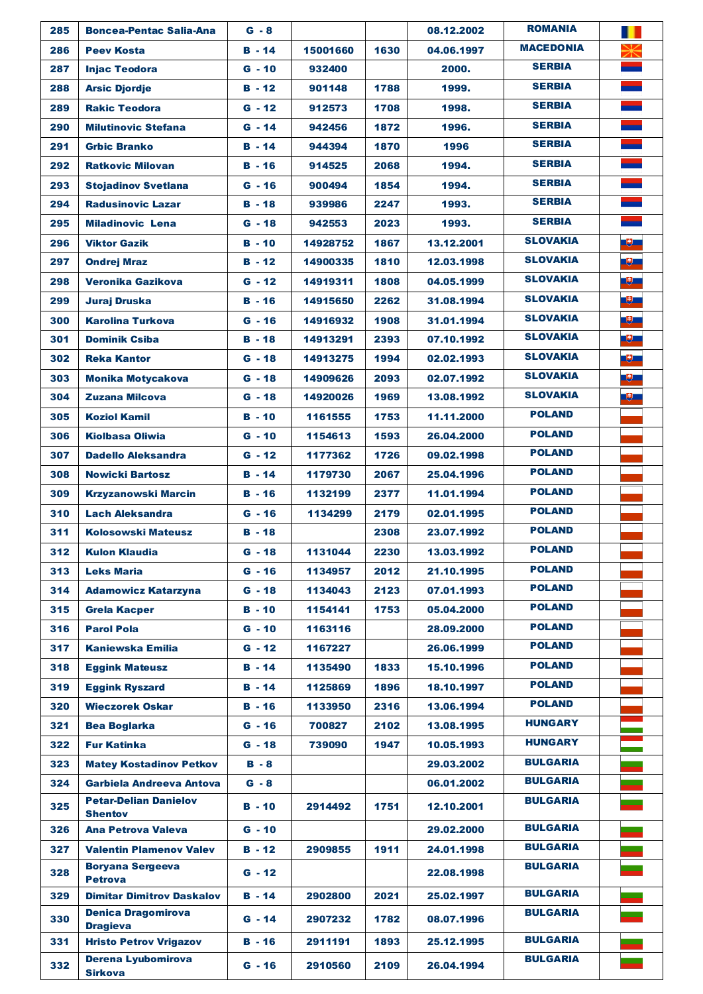| 285 | <b>Boncea-Pentac Salia-Ana</b>               | $G - 8$       |          |      | 08.12.2002 | <b>ROMANIA</b>   | Ш         |
|-----|----------------------------------------------|---------------|----------|------|------------|------------------|-----------|
| 286 | <b>Peev Kosta</b>                            | $B - 14$      | 15001660 | 1630 | 04.06.1997 | <b>MACEDONIA</b> |           |
| 287 | <b>Injac Teodora</b>                         | $G - 10$      | 932400   |      | 2000.      | <b>SERBIA</b>    |           |
| 288 | <b>Arsic Djordje</b>                         | $B - 12$      | 901148   | 1788 | 1999.      | <b>SERBIA</b>    |           |
| 289 | <b>Rakic Teodora</b>                         | $G - 12$      | 912573   | 1708 | 1998.      | <b>SERBIA</b>    |           |
| 290 | <b>Milutinovic Stefana</b>                   | $G - 14$      | 942456   | 1872 | 1996.      | <b>SERBIA</b>    |           |
| 291 | <b>Grbic Branko</b>                          | $B - 14$      | 944394   | 1870 | 1996       | <b>SERBIA</b>    |           |
| 292 | <b>Ratkovic Milovan</b>                      | $B - 16$      | 914525   | 2068 | 1994.      | <b>SERBIA</b>    |           |
| 293 | <b>Stoiadinov Svetlana</b>                   | $G - 16$      | 900494   | 1854 | 1994.      | <b>SERBIA</b>    |           |
| 294 | <b>Radusinovic Lazar</b>                     | <b>B</b> - 18 | 939986   | 2247 | 1993.      | <b>SERBIA</b>    |           |
| 295 | <b>Miladinovic Lena</b>                      | $G - 18$      | 942553   | 2023 | 1993.      | <b>SERBIA</b>    |           |
| 296 | <b>Viktor Gazik</b>                          | $B - 10$      | 14928752 | 1867 | 13.12.2001 | <b>SLOVAKIA</b>  | <b>BU</b> |
| 297 | <b>Ondrej Mraz</b>                           | $B - 12$      | 14900335 | 1810 | 12.03.1998 | <b>SLOVAKIA</b>  | -9-       |
| 298 | <b>Veronika Gazikova</b>                     | $G - 12$      | 14919311 | 1808 | 04.05.1999 | <b>SLOVAKIA</b>  | -9-       |
| 299 | <b>Juraj Druska</b>                          | $B - 16$      | 14915650 | 2262 | 31.08.1994 | <b>SLOVAKIA</b>  | -9-       |
| 300 | <b>Karolina Turkova</b>                      | $G - 16$      | 14916932 | 1908 | 31.01.1994 | <b>SLOVAKIA</b>  | -9        |
| 301 | <b>Dominik Csiba</b>                         | $B - 18$      | 14913291 | 2393 | 07.10.1992 | <b>SLOVAKIA</b>  | -9-       |
| 302 | <b>Reka Kantor</b>                           | $G - 18$      | 14913275 | 1994 | 02.02.1993 | <b>SLOVAKIA</b>  | -9-       |
| 303 | <b>Monika Motycakova</b>                     | $G - 18$      | 14909626 | 2093 | 02.07.1992 | <b>SLOVAKIA</b>  | - 5       |
| 304 | <b>Zuzana Milcova</b>                        | $G - 18$      | 14920026 | 1969 | 13.08.1992 | <b>SLOVAKIA</b>  | -9        |
| 305 | <b>Koziol Kamil</b>                          | $B - 10$      | 1161555  | 1753 | 11.11.2000 | <b>POLAND</b>    |           |
| 306 | <b>Kiolbasa Oliwia</b>                       | $G - 10$      | 1154613  | 1593 | 26.04.2000 | <b>POLAND</b>    |           |
| 307 | <b>Dadello Aleksandra</b>                    | $G - 12$      | 1177362  | 1726 | 09.02.1998 | <b>POLAND</b>    |           |
| 308 | <b>Nowicki Bartosz</b>                       | $B - 14$      | 1179730  | 2067 | 25.04.1996 | <b>POLAND</b>    |           |
| 309 | <b>Krzyzanowski Marcin</b>                   | $B - 16$      | 1132199  | 2377 | 11.01.1994 | <b>POLAND</b>    |           |
| 310 | <b>Lach Aleksandra</b>                       | $G - 16$      | 1134299  | 2179 | 02.01.1995 | <b>POLAND</b>    |           |
| 311 | <b>Kolosowski Mateusz</b>                    | $B - 18$      |          | 2308 | 23.07.1992 | <b>POLAND</b>    |           |
| 312 | <b>Kulon Klaudia</b>                         | $G - 18$      | 1131044  | 2230 | 13.03.1992 | <b>POLAND</b>    |           |
| 313 | <b>Leks Maria</b>                            | $G - 16$      | 1134957  | 2012 | 21.10.1995 | <b>POLAND</b>    |           |
| 314 | <b>Adamowicz Katarzyna</b>                   | G - 18        | 1134043  | 2123 | 07.01.1993 | <b>POLAND</b>    |           |
| 315 | <b>Grela Kacper</b>                          | B - 10        | 1154141  | 1753 | 05.04.2000 | POLAND           |           |
| 316 | <b>Parol Pola</b>                            | $G - 10$      | 1163116  |      | 28.09.2000 | <b>POLAND</b>    |           |
| 317 | <b>Kaniewska Emilia</b>                      | $G - 12$      | 1167227  |      | 26.06.1999 | POLAND           |           |
| 318 | <b>Eggink Mateusz</b>                        | $B - 14$      | 1135490  | 1833 | 15.10.1996 | <b>POLAND</b>    |           |
| 319 | <b>Eggink Ryszard</b>                        | $B - 14$      | 1125869  | 1896 | 18.10.1997 | <b>POLAND</b>    |           |
| 320 | <b>Wieczorek Oskar</b>                       | <b>B</b> - 16 | 1133950  | 2316 | 13.06.1994 | <b>POLAND</b>    |           |
| 321 | <b>Bea Boglarka</b>                          | G - 16        | 700827   | 2102 | 13.08.1995 | <b>HUNGARY</b>   |           |
| 322 | <b>Fur Katinka</b>                           | G - 18        | 739090   | 1947 | 10.05.1993 | <b>HUNGARY</b>   |           |
| 323 | <b>Matey Kostadinov Petkov</b>               | $B - 8$       |          |      | 29.03.2002 | <b>BULGARIA</b>  |           |
| 324 | Garbiela Andreeva Antova                     | $G - 8$       |          |      | 06.01.2002 | <b>BULGARIA</b>  |           |
| 325 | <b>Petar-Delian Danielov</b>                 | B - 10        | 2914492  | 1751 | 12.10.2001 | <b>BULGARIA</b>  |           |
| 326 | <b>Shentov</b><br><b>Ana Petrova Valeva</b>  | G - 10        |          |      | 29.02.2000 | <b>BULGARIA</b>  |           |
| 327 | <b>Valentin Plamenov Valev</b>               | $B - 12$      | 2909855  | 1911 | 24.01.1998 | <b>BULGARIA</b>  |           |
|     | <b>Boryana Sergeeva</b>                      |               |          |      |            | <b>BULGARIA</b>  |           |
| 328 | <b>Petrova</b>                               | $G - 12$      |          |      | 22.08.1998 |                  |           |
| 329 | <b>Dimitar Dimitrov Daskalov</b>             | $B - 14$      | 2902800  | 2021 | 25.02.1997 | <b>BULGARIA</b>  |           |
| 330 | <b>Denica Dragomirova</b><br><b>Dragieva</b> | $G - 14$      | 2907232  | 1782 | 08.07.1996 | <b>BULGARIA</b>  |           |
| 331 | <b>Hristo Petrov Vrigazov</b>                | $B - 16$      | 2911191  | 1893 | 25.12.1995 | <b>BULGARIA</b>  |           |
| 332 | Derena Lyubomirova<br><b>Sirkova</b>         | $G - 16$      | 2910560  | 2109 | 26.04.1994 | <b>BULGARIA</b>  |           |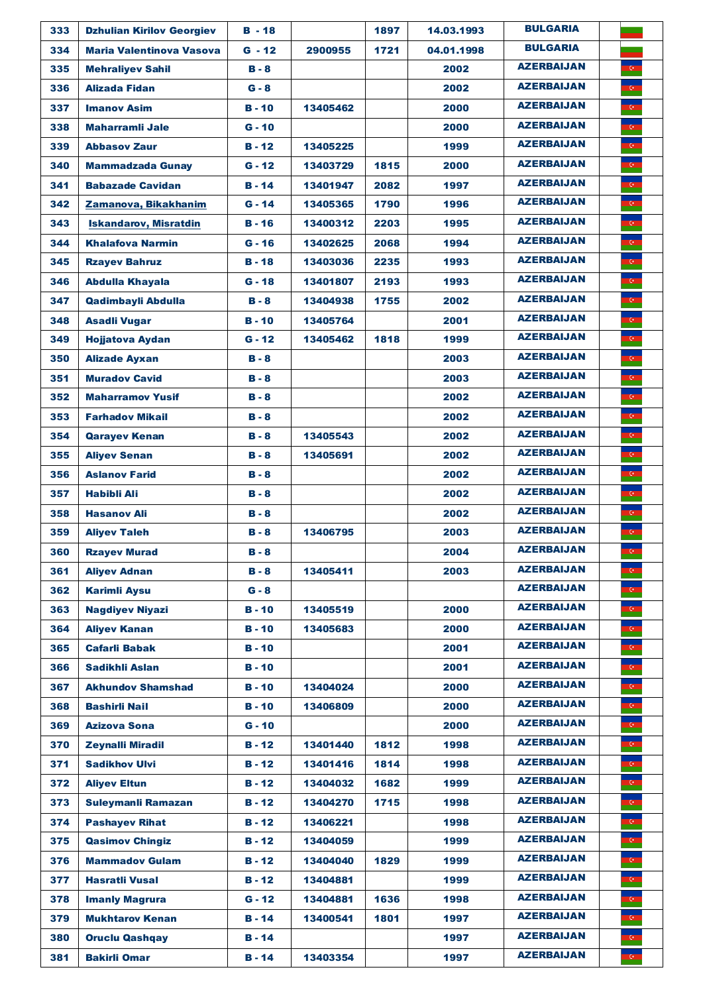| 333 | <b>Dzhulian Kirilov Georgiev</b> | $B - 18$      |          | 1897 | 14.03.1993 | <b>BULGARIA</b>   |                              |
|-----|----------------------------------|---------------|----------|------|------------|-------------------|------------------------------|
| 334 | <b>Maria Valentinova Vasova</b>  | $G - 12$      | 2900955  | 1721 | 04.01.1998 | <b>BULGARIA</b>   |                              |
| 335 | <b>Mehraliyev Sahil</b>          | $B - 8$       |          |      | 2002       | <b>AZERBAIJAN</b> | $\overline{\mathbf{G}}$      |
| 336 | <b>Alizada Fidan</b>             | $G - 8$       |          |      | 2002       | <b>AZERBAIJAN</b> |                              |
| 337 | <b>Imanov Asim</b>               | $B - 10$      | 13405462 |      | 2000       | <b>AZERBAIJAN</b> |                              |
| 338 | <b>Maharramli Jale</b>           | $G - 10$      |          |      | 2000       | <b>AZERBAIJAN</b> |                              |
| 339 | <b>Abbasov Zaur</b>              | $B - 12$      | 13405225 |      | 1999       | <b>AZERBAIJAN</b> |                              |
| 340 | <b>Mammadzada Gunay</b>          | $G - 12$      | 13403729 | 1815 | 2000       | <b>AZERBAIJAN</b> | $\langle \cdot \rangle$      |
| 341 | <b>Babazade Cavidan</b>          | $B - 14$      | 13401947 | 2082 | 1997       | <b>AZERBAIJAN</b> | $\mathbf{G}_\parallel$       |
| 342 | Zamanova, Bikakhanim             | $G - 14$      | 13405365 | 1790 | 1996       | <b>AZERBAIJAN</b> | $\overline{C}$               |
| 343 | <b>Iskandarov, Misratdin</b>     | $B - 16$      | 13400312 | 2203 | 1995       | <b>AZERBAIJAN</b> | $\mathbf{G}$                 |
| 344 | <b>Khalafova Narmin</b>          | $G - 16$      | 13402625 | 2068 | 1994       | <b>AZERBAIJAN</b> | $\overline{\mathbf{G}}$      |
| 345 | <b>Rzayev Bahruz</b>             | $B - 18$      | 13403036 | 2235 | 1993       | <b>AZERBAIJAN</b> | $\overline{G}$               |
| 346 | <b>Abdulla Khayala</b>           | $G - 18$      | 13401807 | 2193 | 1993       | <b>AZERBAIJAN</b> | $\overline{\mathbf{G}}$      |
| 347 | Qadimbayli Abdulla               | $B - 8$       | 13404938 | 1755 | 2002       | <b>AZERBAIJAN</b> | $\mathbf{G}$                 |
| 348 | <b>Asadli Vugar</b>              | $B - 10$      | 13405764 |      | 2001       | <b>AZERBAIJAN</b> | $\overline{\mathbf{G}}$      |
| 349 | <b>Hojjatova Aydan</b>           | $G - 12$      | 13405462 | 1818 | 1999       | <b>AZERBAIJAN</b> | $\overline{\mathbf{G}}$      |
| 350 | <b>Alizade Ayxan</b>             | $B - 8$       |          |      | 2003       | <b>AZERBAIJAN</b> | $\langle \mathbf{e} \rangle$ |
| 351 | <b>Muradov Cavid</b>             | $B - 8$       |          |      | 2003       | <b>AZERBAIJAN</b> | $\mathbf{C}$                 |
| 352 | <b>Maharramov Yusif</b>          | $B - 8$       |          |      | 2002       | <b>AZERBAIJAN</b> | $\mathbf{G}_\parallel$       |
| 353 | <b>Farhadov Mikail</b>           | $B - 8$       |          |      | 2002       | <b>AZERBAIJAN</b> | $\overline{\mathbf{G}}$      |
| 354 | <b>Qarayev Kenan</b>             | $B - 8$       | 13405543 |      | 2002       | <b>AZERBAIJAN</b> | $\overline{\mathbf{G}}$      |
| 355 | <b>Aliyev Senan</b>              | $B - 8$       | 13405691 |      | 2002       | <b>AZERBAIJAN</b> | $\mathbf{G}_{\mathbb{Z}}$    |
| 356 | <b>Aslanov Farid</b>             | $B - 8$       |          |      | 2002       | <b>AZERBAIJAN</b> | $\mathbf{G}$                 |
| 357 | Habibli Ali                      | $B - 8$       |          |      | 2002       | <b>AZERBAIJAN</b> |                              |
| 358 | <b>Hasanov Ali</b>               | $B - 8$       |          |      | 2002       | <b>AZERBAIJAN</b> |                              |
| 359 | <b>Aliyev Taleh</b>              | $B - 8$       | 13406795 |      | 2003       | <b>AZERBAIJAN</b> |                              |
| 360 | <b>Rzayev Murad</b>              | $B - 8$       |          |      | 2004       | <b>AZERBAIJAN</b> |                              |
| 361 | <b>Aliyev Adnan</b>              | $B - 8$       | 13405411 |      | 2003       | <b>AZERBAIJAN</b> | $\mathbf{G}$                 |
| 362 | <b>Karimli Aysu</b>              | $G - 8$       |          |      |            | <b>AZERBAIJAN</b> | $\mathbf{G}$                 |
| 363 | <b>Nagdiyev Niyazi</b>           | $B - 10$      | 13405519 |      | 2000       | <b>AZERBAIJAN</b> | $\langle \cdot \rangle$      |
| 364 | <b>Aliyev Kanan</b>              | $B - 10$      | 13405683 |      | 2000       | <b>AZERBAIJAN</b> | $\overline{C}$               |
| 365 | <b>Cafarli Babak</b>             | <b>B</b> - 10 |          |      | 2001       | <b>AZERBAIJAN</b> | $\mathbf{G}$                 |
| 366 | Sadikhli Aslan                   | <b>B</b> - 10 |          |      | 2001       | <b>AZERBAIJAN</b> | $\mathbf{G}$                 |
| 367 | <b>Akhundov Shamshad</b>         | $B - 10$      | 13404024 |      | 2000       | <b>AZERBAIJAN</b> | $\mathbf{G}$                 |
| 368 | <b>Bashirli Nail</b>             | <b>B</b> - 10 | 13406809 |      | 2000       | <b>AZERBAIJAN</b> | $\overline{\mathbf{G}}$      |
| 369 | <b>Azizova Sona</b>              | $G - 10$      |          |      | 2000       | <b>AZERBAIJAN</b> | $\overline{\mathbf{G}}$      |
| 370 | <b>Zeynalli Miradil</b>          | <b>B</b> - 12 | 13401440 | 1812 | 1998       | <b>AZERBAIJAN</b> | $\bullet$                    |
| 371 | <b>Sadikhov Ulvi</b>             | $B - 12$      | 13401416 | 1814 | 1998       | <b>AZERBAIJAN</b> | $\mathbf{G}$                 |
| 372 | <b>Aliyev Eltun</b>              | $B - 12$      | 13404032 | 1682 | 1999       | <b>AZERBAIJAN</b> | $\mathbf{G}$                 |
| 373 | <b>Suleymanli Ramazan</b>        | B - 12        | 13404270 | 1715 | 1998       | <b>AZERBAIJAN</b> | $\overline{\mathbf{G}}$      |
| 374 | <b>Pashayev Rihat</b>            | $B - 12$      | 13406221 |      | 1998       | <b>AZERBAIJAN</b> | $\mathbf{G}_\parallel$       |
| 375 | <b>Qasimov Chingiz</b>           | <b>B</b> - 12 | 13404059 |      | 1999       | <b>AZERBAIJAN</b> | $\langle \cdot \rangle$      |
| 376 | <b>Mammadov Gulam</b>            | $B - 12$      | 13404040 | 1829 | 1999       | <b>AZERBAIJAN</b> | $\overline{\mathbf{G}}$      |
| 377 | <b>Hasratli Vusal</b>            | <b>B</b> - 12 | 13404881 |      | 1999       | <b>AZERBAIJAN</b> | $\mathbf{G}$                 |
| 378 | <b>Imanly Magrura</b>            | $G - 12$      | 13404881 | 1636 | 1998       | <b>AZERBAIJAN</b> | $\mathbf{G}_{\mathbb{Z}}$    |
| 379 | <b>Mukhtarov Kenan</b>           | $B - 14$      | 13400541 | 1801 | 1997       | <b>AZERBAIJAN</b> | $\mathbf{G}$                 |
| 380 | <b>Oruclu Qashqay</b>            | <b>B</b> - 14 |          |      | 1997       | <b>AZERBAIJAN</b> | $\overline{\mathbf{G}}$      |
| 381 | <b>Bakirli Omar</b>              | $B - 14$      | 13403354 |      | 1997       | <b>AZERBAIJAN</b> | $\langle \mathbf{G} \rangle$ |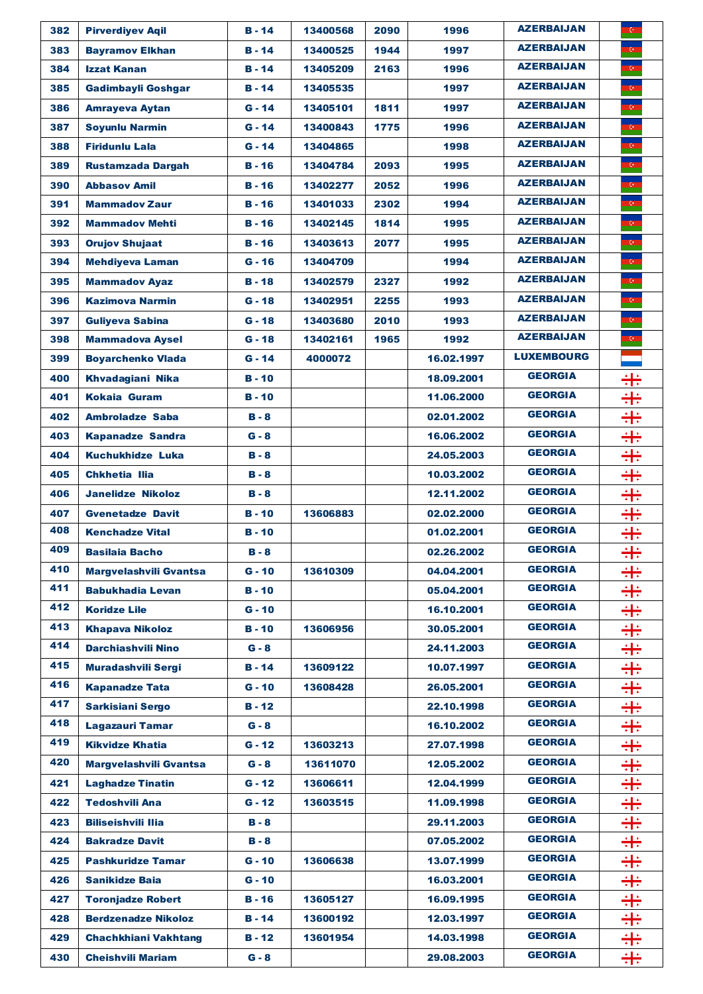| 382 | <b>Pirverdivev Agil</b>       | $B - 14$      | 13400568 | 2090 | 1996       | <b>AZERBAIJAN</b> | $\mathbf{G}_{\mathbb{Z}}$ |
|-----|-------------------------------|---------------|----------|------|------------|-------------------|---------------------------|
| 383 | <b>Bayramov Elkhan</b>        | $B - 14$      | 13400525 | 1944 | 1997       | <b>AZERBAIJAN</b> | $\mathbf{G}_\parallel$    |
| 384 | <b>Izzat Kanan</b>            | $B - 14$      | 13405209 | 2163 | 1996       | <b>AZERBAIJAN</b> | $\overline{\mathbf{G}}$   |
| 385 | <b>Gadimbayli Goshgar</b>     | $B - 14$      | 13405535 |      | 1997       | <b>AZERBAIJAN</b> | $\overline{\mathbf{G}}$   |
| 386 | <b>Amrayeva Aytan</b>         | $G - 14$      | 13405101 | 1811 | 1997       | <b>AZERBAIJAN</b> | $\mathbf{G}$              |
| 387 | <b>Soyunlu Narmin</b>         | $G - 14$      | 13400843 | 1775 | 1996       | <b>AZERBAIJAN</b> | $\mathbb{G}_+$            |
| 388 | <b>Firidunlu Lala</b>         | $G - 14$      | 13404865 |      | 1998       | <b>AZERBAIJAN</b> | $\overline{\mathbf{G}}$   |
| 389 | <b>Rustamzada Dargah</b>      | $B - 16$      | 13404784 | 2093 | 1995       | <b>AZERBAIJAN</b> | $\mathbf{G}$              |
| 390 | <b>Abbasov Amil</b>           | $B - 16$      | 13402277 | 2052 | 1996       | <b>AZERBAIJAN</b> | $\overline{G}$            |
| 391 | <b>Mammadov Zaur</b>          | <b>B</b> - 16 | 13401033 | 2302 | 1994       | <b>AZERBAIJAN</b> | $\mathbf{G}$              |
| 392 | <b>Mammadov Mehti</b>         | $B - 16$      | 13402145 | 1814 | 1995       | <b>AZERBAIJAN</b> | $\mathbf{G}$              |
| 393 | <b>Orujov Shujaat</b>         | <b>B</b> - 16 | 13403613 | 2077 | 1995       | <b>AZERBAIJAN</b> | $\overline{\mathbf{C}}$   |
| 394 | <b>Mehdiyeva Laman</b>        | $G - 16$      | 13404709 |      | 1994       | <b>AZERBAIJAN</b> | $\mathbf{G}_\parallel$    |
| 395 | <b>Mammadov Ayaz</b>          | $B - 18$      | 13402579 | 2327 | 1992       | <b>AZERBAIJAN</b> | $\overline{\mathbf{G}}$   |
| 396 | <b>Kazimova Narmin</b>        | $G - 18$      | 13402951 | 2255 | 1993       | <b>AZERBAIJAN</b> | $\mathbf{G}$              |
| 397 | <b>Guliyeva Sabina</b>        | $G - 18$      | 13403680 | 2010 | 1993       | <b>AZERBAIJAN</b> | $\overline{\mathbf{G}}$   |
| 398 | <b>Mammadova Aysel</b>        | $G - 18$      | 13402161 | 1965 | 1992       | <b>AZERBAIJAN</b> | $\overline{C}$            |
| 399 | <b>Boyarchenko Vlada</b>      | $G - 14$      | 4000072  |      | 16.02.1997 | <b>LUXEMBOURG</b> |                           |
| 400 | <b>Khvadagiani Nika</b>       | $B - 10$      |          |      | 18.09.2001 | <b>GEORGIA</b>    | 羋                         |
| 401 | <b>Kokaia Guram</b>           | <b>B</b> - 10 |          |      | 11.06.2000 | <b>GEORGIA</b>    | ÷                         |
| 402 | <b>Ambroladze Saba</b>        | $B - 8$       |          |      | 02.01.2002 | <b>GEORGIA</b>    | ₩                         |
| 403 | <b>Kapanadze Sandra</b>       | $G - 8$       |          |      | 16.06.2002 | <b>GEORGIA</b>    | ₩                         |
| 404 | <b>Kuchukhidze Luka</b>       | B - 8         |          |      | 24.05.2003 | <b>GEORGIA</b>    | ₩                         |
| 405 | <b>Chkhetia Ilia</b>          | <b>B</b> - 8  |          |      | 10.03.2002 | <b>GEORGIA</b>    | ₩                         |
| 406 | <b>Janelidze Nikoloz</b>      | <b>B-8</b>    |          |      | 12.11.2002 | <b>GEORGIA</b>    | 带                         |
| 407 | <b>Gvenetadze Davit</b>       | $B - 10$      | 13606883 |      | 02.02.2000 | <b>GEORGIA</b>    | 羋                         |
| 408 | <b>Kenchadze Vital</b>        | <b>B</b> - 10 |          |      | 01.02.2001 | <b>GEORGIA</b>    | ÷                         |
| 409 | <b>Basilaia Bacho</b>         | в - 8         |          |      | 02.26.2002 | <b>GEORGIA</b>    | $+1+$<br>बाब              |
| 410 | <b>Margvelashvili Gvantsa</b> | $G - 10$      | 13610309 |      | 04.04.2001 | <b>GEORGIA</b>    | ₩                         |
| 411 | <b>Babukhadia Levan</b>       | $B - 10$      |          |      | 05.04.2001 | <b>GEORGIA</b>    | ╬                         |
| 412 | <b>Koridze Lile</b>           | $G - 10$      |          |      | 16.10.2001 | <b>GEORGIA</b>    | ÷                         |
| 413 | <b>Khapava Nikoloz</b>        | $B - 10$      | 13606956 |      | 30.05.2001 | <b>GEORGIA</b>    | 带                         |
| 414 | <b>Darchiashvili Nino</b>     | $G - 8$       |          |      | 24.11.2003 | <b>GEORGIA</b>    | ╬                         |
| 415 | <b>Muradashvili Sergi</b>     | <b>B</b> - 14 | 13609122 |      | 10.07.1997 | <b>GEORGIA</b>    | ╬                         |
| 416 | <b>Kapanadze Tata</b>         | $G - 10$      | 13608428 |      | 26.05.2001 | <b>GEORGIA</b>    | 羋                         |
| 417 | <b>Sarkisiani Sergo</b>       | <b>B</b> - 12 |          |      | 22.10.1998 | <b>GEORGIA</b>    | 羋                         |
| 418 | <b>Lagazauri Tamar</b>        | $G - 8$       |          |      | 16.10.2002 | <b>GEORGIA</b>    | ÷                         |
| 419 | <b>Kikvidze Khatia</b>        | $G - 12$      | 13603213 |      | 27.07.1998 | <b>GEORGIA</b>    | 羋                         |
| 420 | Margvelashvili Gvantsa        | $G - 8$       | 13611070 |      | 12.05.2002 | <b>GEORGIA</b>    | ╬.                        |
| 421 | <b>Laghadze Tinatin</b>       | $G - 12$      | 13606611 |      | 12.04.1999 | <b>GEORGIA</b>    | 羋                         |
| 422 | <b>Tedoshvili Ana</b>         | $G - 12$      | 13603515 |      | 11.09.1998 | <b>GEORGIA</b>    | ╬                         |
| 423 | <b>Biliseishvili Ilia</b>     | $B - 8$       |          |      | 29.11.2003 | <b>GEORGIA</b>    | ÷                         |
| 424 | <b>Bakradze Davit</b>         | $B - 8$       |          |      | 07.05.2002 | <b>GEORGIA</b>    | ₩                         |
| 425 | <b>Pashkuridze Tamar</b>      | $G - 10$      | 13606638 |      | 13.07.1999 | <b>GEORGIA</b>    | ╬                         |
| 426 | <b>Sanikidze Baia</b>         | $G - 10$      |          |      | 16.03.2001 | <b>GEORGIA</b>    | ╬                         |
| 427 | <b>Toronjadze Robert</b>      | <b>B-16</b>   | 13605127 |      | 16.09.1995 | <b>GEORGIA</b>    | 羋                         |
| 428 | <b>Berdzenadze Nikoloz</b>    | $B - 14$      | 13600192 |      | 12.03.1997 | <b>GEORGIA</b>    | 羋                         |
| 429 | <b>Chachkhiani Vakhtang</b>   | $B - 12$      | 13601954 |      | 14.03.1998 | <b>GEORGIA</b>    | ÷                         |
| 430 | <b>Cheishvili Mariam</b>      | $G - 8$       |          |      | 29.08.2003 | <b>GEORGIA</b>    | ╬                         |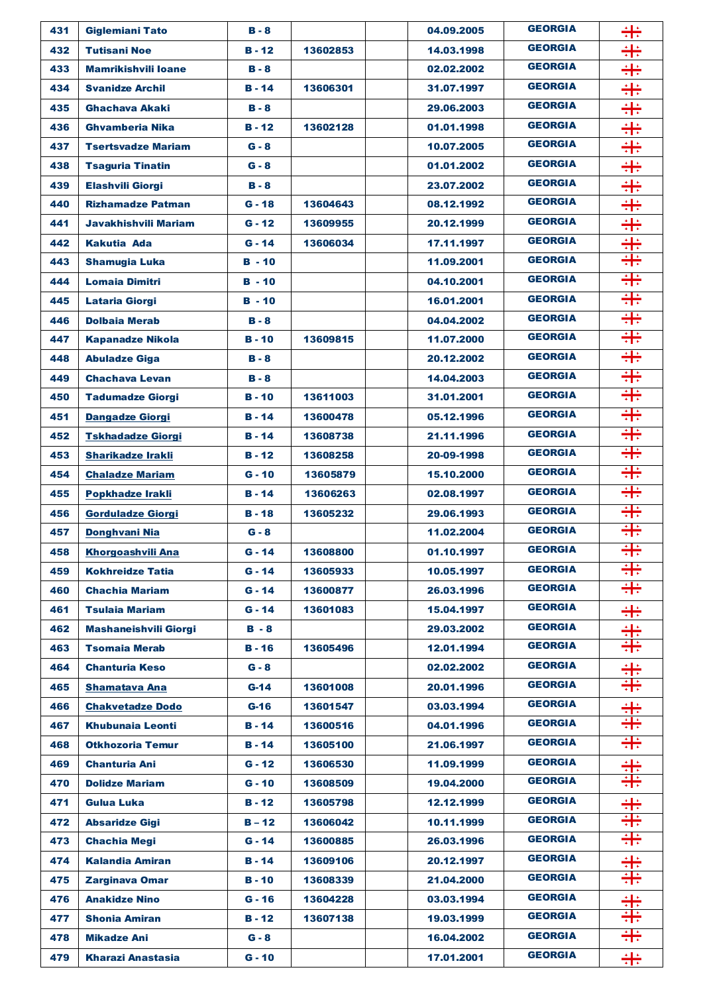| 431 | <b>Giglemiani Tato</b>       | $B - 8$       |          | 04.09.2005 | <b>GEORGIA</b> | ╬         |
|-----|------------------------------|---------------|----------|------------|----------------|-----------|
| 432 | <b>Tutisani Noe</b>          | $B - 12$      | 13602853 | 14.03.1998 | <b>GEORGIA</b> | ₩         |
| 433 | <b>Mamrikishvili Ioane</b>   | $B - 8$       |          | 02.02.2002 | <b>GEORGIA</b> | 畫         |
| 434 | <b>Svanidze Archil</b>       | $B - 14$      | 13606301 | 31.07.1997 | <b>GEORGIA</b> | ╬         |
| 435 | <b>Ghachava Akaki</b>        | $B - 8$       |          | 29,06,2003 | <b>GEORGIA</b> | 畫         |
| 436 | <b>Ghvamberia Nika</b>       | $B - 12$      | 13602128 | 01.01.1998 | <b>GEORGIA</b> | ₩         |
| 437 | <b>Tsertsvadze Mariam</b>    | $G - 8$       |          | 10.07.2005 | <b>GEORGIA</b> | 羋         |
| 438 | <b>Tsaguria Tinatin</b>      | $G - 8$       |          | 01.01.2002 | <b>GEORGIA</b> | ÷         |
| 439 | <b>Elashvili Giorgi</b>      | $B - 8$       |          | 23.07.2002 | <b>GEORGIA</b> | ₩         |
| 440 | <b>Rizhamadze Patman</b>     | $G - 18$      | 13604643 | 08.12.1992 | <b>GEORGIA</b> | ÷         |
| 441 | <b>Javakhishvili Mariam</b>  | $G - 12$      | 13609955 | 20.12.1999 | <b>GEORGIA</b> | ÷         |
| 442 | Kakutia Ada                  | $G - 14$      | 13606034 | 17.11.1997 | <b>GEORGIA</b> | 畫         |
| 443 | <b>Shamugia Luka</b>         | $B - 10$      |          | 11.09.2001 | <b>GEORGIA</b> | ╬         |
| 444 | <b>Lomaia Dimitri</b>        | $B - 10$      |          | 04.10.2001 | <b>GEORGIA</b> | ╬         |
| 445 | <b>Lataria Giorgi</b>        | $B - 10$      |          | 16.01.2001 | <b>GEORGIA</b> | ╬         |
| 446 | <b>Dolbaia Merab</b>         | $B - 8$       |          | 04.04.2002 | <b>GEORGIA</b> | ╬         |
| 447 | <b>Kapanadze Nikola</b>      | $B - 10$      | 13609815 | 11.07.2000 | <b>GEORGIA</b> | ╬         |
| 448 | <b>Abuladze Giga</b>         | $B - 8$       |          | 20.12.2002 | <b>GEORGIA</b> | ╬         |
| 449 | <b>Chachava Levan</b>        | $B - 8$       |          | 14.04.2003 | <b>GEORGIA</b> | ╬         |
| 450 | <b>Tadumadze Giorgi</b>      | $B - 10$      | 13611003 | 31.01.2001 | <b>GEORGIA</b> | ╬         |
| 451 | <b>Dangadze Giorgi</b>       | $B - 14$      | 13600478 | 05.12.1996 | <b>GEORGIA</b> | ╬         |
| 452 | <b>Tskhadadze Giorgi</b>     | $B - 14$      | 13608738 | 21.11.1996 | <b>GEORGIA</b> | ╬         |
| 453 | <b>Sharikadze Irakli</b>     | $B - 12$      | 13608258 | 20-09-1998 | <b>GEORGIA</b> | ╬         |
| 454 | <b>Chaladze Mariam</b>       | $G - 10$      | 13605879 | 15.10.2000 | <b>GEORGIA</b> | ╬         |
| 455 | <b>Popkhadze Irakli</b>      | $B - 14$      | 13606263 | 02.08.1997 | <b>GEORGIA</b> | ╬         |
| 456 | <b>Gorduladze Giorgi</b>     | $B - 18$      | 13605232 | 29.06.1993 | <b>GEORGIA</b> | ╬         |
| 457 | Donghvani Nia                | $G - 8$       |          | 11.02.2004 | <b>GEORGIA</b> | ╬         |
| 458 | <b>Khorgoashvili Ana</b>     | $G - 14$      | 13608800 | 01.10.1997 | <b>GEORGIA</b> | Ė<br>+ L+ |
| 459 | <b>Kokhreidze Tatia</b>      | $G - 14$      | 13605933 | 10.05.1997 | <b>GEORGIA</b> | ╬         |
| 460 | <b>Chachia Mariam</b>        | $G - 14$      | 13600877 | 26,03,1996 | <b>GEORGIA</b> | ╬         |
| 461 | <b>Tsulaia Mariam</b>        | $G - 14$      | 13601083 | 15.04.1997 | <b>GEORGIA</b> | ╬         |
| 462 | <b>Mashaneishvili Giorgi</b> | $B - 8$       |          | 29.03.2002 | <b>GEORGIA</b> | ╬         |
| 463 | <b>Tsomaia Merab</b>         | <b>B</b> - 16 | 13605496 | 12.01.1994 | <b>GEORGIA</b> | ╬         |
| 464 | <b>Chanturia Keso</b>        | $G - 8$       |          | 02.02.2002 | <b>GEORGIA</b> | ╬         |
| 465 | <b>Shamatava Ana</b>         | G-14          | 13601008 | 20.01.1996 | <b>GEORGIA</b> | ╬         |
| 466 | <b>Chakvetadze Dodo</b>      | $G-16$        | 13601547 | 03.03.1994 | <b>GEORGIA</b> | ╬         |
| 467 | <b>Khubunaia Leonti</b>      | <b>B</b> - 14 | 13600516 | 04.01.1996 | <b>GEORGIA</b> | ╬         |
| 468 | <b>Otkhozoria Temur</b>      | $B - 14$      | 13605100 | 21.06.1997 | <b>GEORGIA</b> | ╬         |
| 469 | <b>Chanturia Ani</b>         | $G - 12$      | 13606530 | 11.09.1999 | <b>GEORGIA</b> | ╬         |
| 470 | <b>Dolidze Mariam</b>        | $G - 10$      | 13608509 | 19.04.2000 | <b>GEORGIA</b> | ╬         |
| 471 | <b>Gulua Luka</b>            | <b>B</b> - 12 | 13605798 | 12.12.1999 | <b>GEORGIA</b> | ╬         |
| 472 | <b>Absaridze Gigi</b>        | $B - 12$      | 13606042 | 10.11.1999 | <b>GEORGIA</b> | ╬         |
| 473 | <b>Chachia Megi</b>          | $G - 14$      | 13600885 | 26.03.1996 | <b>GEORGIA</b> | ╬         |
| 474 | <b>Kalandia Amiran</b>       | $B - 14$      | 13609106 | 20.12.1997 | <b>GEORGIA</b> | ╬         |
| 475 | <b>Zarginava Omar</b>        | <b>B</b> - 10 | 13608339 | 21.04.2000 | <b>GEORGIA</b> | ╬         |
| 476 | <b>Anakidze Nino</b>         | $G - 16$      | 13604228 | 03.03.1994 | <b>GEORGIA</b> | 끆         |
| 477 | <b>Shonia Amiran</b>         | $B - 12$      | 13607138 | 19.03.1999 | <b>GEORGIA</b> | ╬         |
| 478 | <b>Mikadze Ani</b>           | $G - 8$       |          | 16.04.2002 | <b>GEORGIA</b> | ╬         |
| 479 | <b>Kharazi Anastasia</b>     | $G - 10$      |          | 17.01.2001 | <b>GEORGIA</b> | 半         |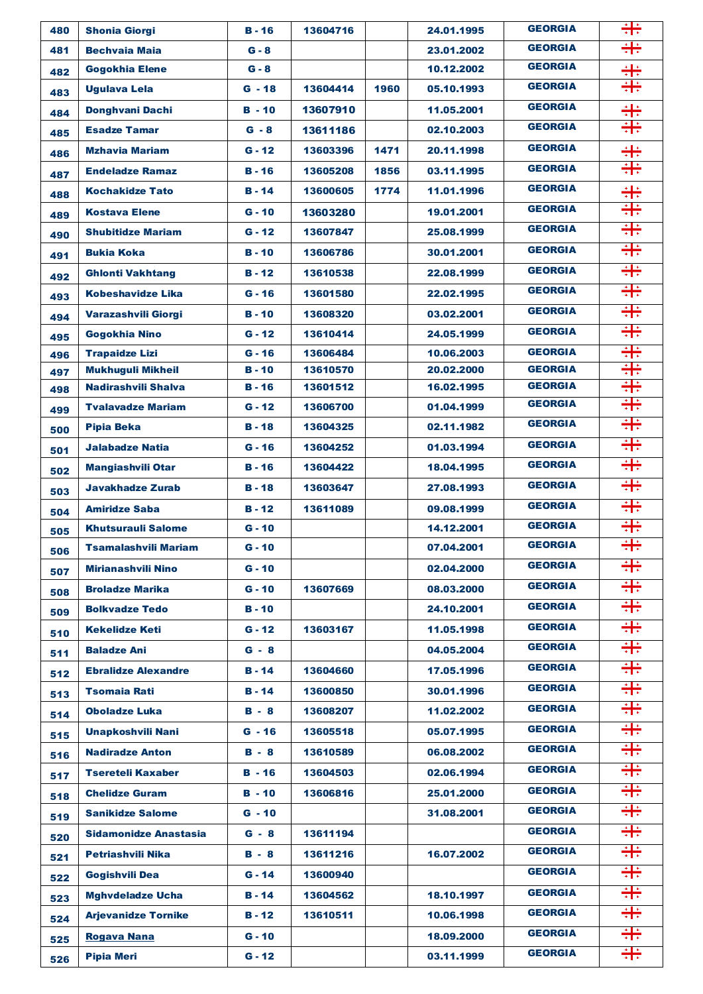| 480        | <b>Shonia Giorgi</b>        | $B - 16$             | 13604716 |      | 24.01.1995               | <b>GEORGIA</b>                   | ╬  |
|------------|-----------------------------|----------------------|----------|------|--------------------------|----------------------------------|----|
| 481        | <b>Bechvaia Maia</b>        | $G - 8$              |          |      | 23.01.2002               | <b>GEORGIA</b>                   | ╬  |
| 482        | <b>Gogokhia Elene</b>       | $G - 8$              |          |      | 10.12.2002               | <b>GEORGIA</b>                   | ÷  |
| 483        | <b>Ugulava Lela</b>         | $G - 18$             | 13604414 | 1960 | 05.10.1993               | <b>GEORGIA</b>                   | ╬  |
| 484        | Donghvani Dachi             | $B - 10$             | 13607910 |      | 11.05.2001               | <b>GEORGIA</b>                   | ╬  |
| 485        | <b>Esadze Tamar</b>         | $G - 8$              | 13611186 |      | 02.10.2003               | <b>GEORGIA</b>                   | ╬  |
| 486        | <b>Mzhavia Mariam</b>       | $G - 12$             | 13603396 | 1471 | 20.11.1998               | <b>GEORGIA</b>                   | ÷  |
| 487        | <b>Endeladze Ramaz</b>      | $B - 16$             | 13605208 | 1856 | 03.11.1995               | <b>GEORGIA</b>                   | ╬  |
| 488        | <b>Kochakidze Tato</b>      | $B - 14$             | 13600605 | 1774 | 11.01.1996               | <b>GEORGIA</b>                   | ╬  |
| 489        | <b>Kostava Elene</b>        | $G - 10$             | 13603280 |      | 19.01.2001               | <b>GEORGIA</b>                   | ╬  |
| 490        | <b>Shubitidze Mariam</b>    | $G - 12$             | 13607847 |      | 25.08.1999               | <b>GEORGIA</b>                   | ╬  |
| 491        | <b>Bukia Koka</b>           | $B - 10$             | 13606786 |      | 30.01.2001               | <b>GEORGIA</b>                   | ╬  |
| 492        | <b>Ghlonti Vakhtang</b>     | <b>B</b> - 12        | 13610538 |      | 22.08.1999               | <b>GEORGIA</b>                   | ╬  |
| 493        | Kobeshavidze Lika           | $G - 16$             | 13601580 |      | 22.02.1995               | <b>GEORGIA</b>                   | ÷÷ |
|            | Varazashvili Giorgi         | $B - 10$             | 13608320 |      | 03.02.2001               | <b>GEORGIA</b>                   | ╬  |
| 494        | Gogokhia Nino               | $G - 12$             | 13610414 |      | 24.05.1999               | <b>GEORGIA</b>                   | ╬  |
| 495<br>496 | <b>Trapaidze Lizi</b>       | $G - 16$             | 13606484 |      | 10.06.2003               | <b>GEORGIA</b>                   | ╬  |
| 497        | <b>Mukhuguli Mikheil</b>    | $B - 10$             | 13610570 |      | 20.02.2000               | <b>GEORGIA</b>                   | ╬  |
| 498        | Nadirashvili Shalva         | $B - 16$             | 13601512 |      | 16.02.1995               | <b>GEORGIA</b>                   | ╬  |
| 499        | <b>Tyalavadze Mariam</b>    | $G - 12$             | 13606700 |      | 01.04.1999               | <b>GEORGIA</b>                   | ÷÷ |
| 500        | <b>Pipia Beka</b>           | $B - 18$             | 13604325 |      | 02.11.1982               | <b>GEORGIA</b>                   | ╬  |
| 501        | <b>Jalabadze Natia</b>      | $G - 16$             | 13604252 |      | 01.03.1994               | <b>GEORGIA</b>                   | ╬  |
| 502        | <b>Mangiashvili Otar</b>    | $B - 16$             | 13604422 |      | 18.04.1995               | <b>GEORGIA</b>                   | ╬  |
| 503        | <b>Javakhadze Zurab</b>     | $B - 18$             | 13603647 |      | 27.08.1993               | <b>GEORGIA</b>                   | ╬  |
| 504        | <b>Amiridze Saba</b>        | $B - 12$             | 13611089 |      | 09.08.1999               | <b>GEORGIA</b>                   | ÷÷ |
| 505        | <b>Khutsurauli Salome</b>   | $G - 10$             |          |      | 14.12.2001               | <b>GEORGIA</b>                   | ╬  |
| 506        | <b>Tsamalashvili Mariam</b> | $G - 10$             |          |      | 07.04.2001               | <b>GEORGIA</b>                   | ╬  |
| 507        | <b>Mirianashvili Nino</b>   | $G - 10$             |          |      | 02.04.2000               | <b>GEORGIA</b>                   | ╬  |
| 508        | <b>Broladze Marika</b>      | $G - 10$             | 13607669 |      | 08.03.2000               | <b>GEORGIA</b>                   | ╬  |
| 509        | <b>Bolkvadze Tedo</b>       | <b>B</b> - 10        |          |      | 24.10.2001               | <b>GEORGIA</b>                   | ÷÷ |
| 510        | <b>Kekelidze Keti</b>       | $G - 12$             | 13603167 |      | 11.05.1998               | <b>GEORGIA</b>                   | ╬  |
| 511        | <b>Baladze Ani</b>          | $G - 8$              |          |      | 04.05.2004               | <b>GEORGIA</b>                   | ÷  |
| 512        | <b>Ebralidze Alexandre</b>  | <b>B</b> - 14        | 13604660 |      | 17.05.1996               | <b>GEORGIA</b>                   | ╬  |
|            | <b>Tsomaia Rati</b>         | <b>B</b> - 14        | 13600850 |      | 30.01.1996               | <b>GEORGIA</b>                   | ╬  |
| 513        | <b>Oboladze Luka</b>        | $B - 8$              | 13608207 |      | 11.02.2002               | <b>GEORGIA</b>                   | ╬  |
| 514        | <b>Unapkoshvili Nani</b>    | $G - 16$             | 13605518 |      | 05.07.1995               | <b>GEORGIA</b>                   | ₩  |
| 515        | <b>Nadiradze Anton</b>      | <b>B</b> - 8         | 13610589 |      | 06.08.2002               | <b>GEORGIA</b>                   | ╬  |
| 516        | <b>Tsereteli Kaxaber</b>    | B - 16               | 13604503 |      | 02.06.1994               | <b>GEORGIA</b>                   | ╬  |
| 517        |                             |                      |          |      |                          | <b>GEORGIA</b>                   | ₩  |
| 518        | <b>Chelidze Guram</b>       | $B - 10$<br>$G - 10$ | 13606816 |      | 25.01.2000<br>31.08.2001 | <b>GEORGIA</b>                   | ₩  |
| 519        | <b>Sanikidze Salome</b>     |                      |          |      |                          | <b>GEORGIA</b>                   | ₩  |
| 520        | Sidamonidze Anastasia       | $G - 8$              | 13611194 |      |                          | <b>GEORGIA</b>                   | ╬  |
| 521        | <b>Petriashvili Nika</b>    | $B - 8$              | 13611216 |      | 16.07.2002               | <b>GEORGIA</b>                   | ₩  |
| 522        | <b>Gogishvili Dea</b>       | $G - 14$             | 13600940 |      |                          |                                  |    |
| 523        | <b>Mghvdeladze Ucha</b>     | <b>B</b> - 14        | 13604562 |      | 18.10.1997               | <b>GEORGIA</b><br><b>GEORGIA</b> | ╬  |
| 524        | <b>Arjevanidze Tornike</b>  | B - 12               | 13610511 |      | 10.06.1998               |                                  | ╬  |
| 525        | <b>Rogava Nana</b>          | $G - 10$             |          |      | 18.09.2000               | <b>GEORGIA</b>                   | ╬  |
| 526        | <b>Pipia Meri</b>           | $G - 12$             |          |      | 03.11.1999               | <b>GEORGIA</b>                   | ₩  |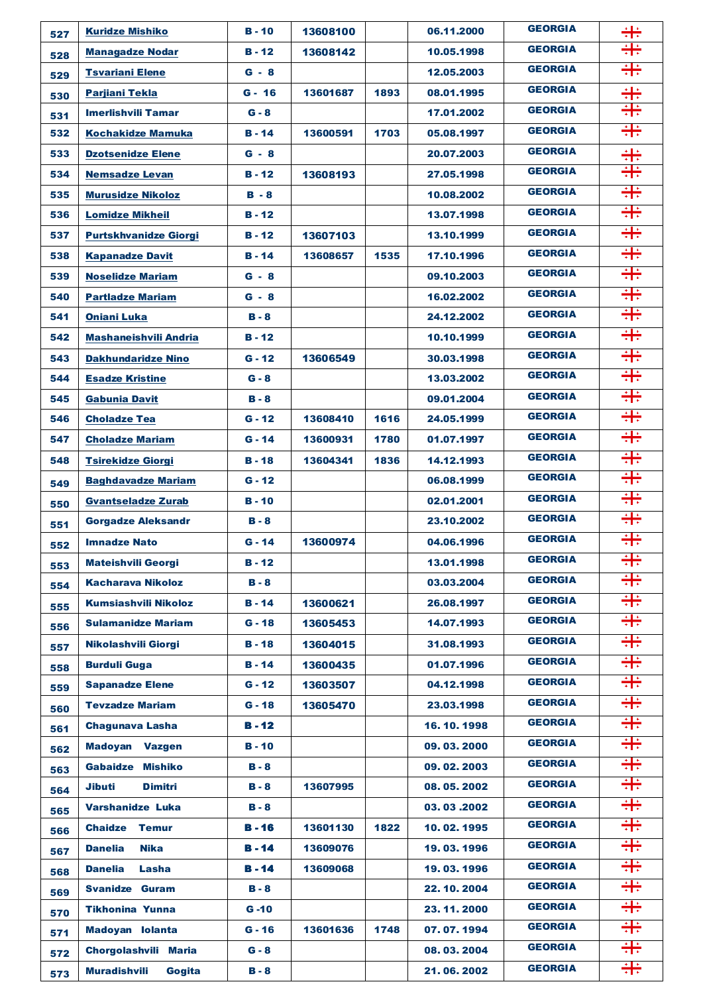| 527 | <b>Kuridze Mishiko</b>          | <b>B</b> - 10 | 13608100 |      | 06.11.2000   | <b>GEORGIA</b> | ╬  |
|-----|---------------------------------|---------------|----------|------|--------------|----------------|----|
| 528 | <b>Managadze Nodar</b>          | <b>B</b> - 12 | 13608142 |      | 10.05.1998   | <b>GEORGIA</b> | ╬  |
| 529 | <b>Tsvariani Elene</b>          | $G - 8$       |          |      | 12.05.2003   | <b>GEORGIA</b> | ╬  |
| 530 | <b>Parjiani Tekla</b>           | $G - 16$      | 13601687 | 1893 | 08.01.1995   | <b>GEORGIA</b> | ╬  |
| 531 | <b>Imerlishvili Tamar</b>       | $G - 8$       |          |      | 17.01.2002   | <b>GEORGIA</b> | ÷÷ |
| 532 | <b>Kochakidze Mamuka</b>        | <b>B</b> - 14 | 13600591 | 1703 | 05.08.1997   | <b>GEORGIA</b> | ╬  |
| 533 | <b>Dzotsenidze Elene</b>        | $G - 8$       |          |      | 20.07.2003   | <b>GEORGIA</b> | ╬  |
| 534 | <b>Nemsadze Levan</b>           | B - 12        | 13608193 |      | 27.05.1998   | <b>GEORGIA</b> | ╬  |
| 535 | <b>Murusidze Nikoloz</b>        | $B - 8$       |          |      | 10.08.2002   | <b>GEORGIA</b> | ╬  |
| 536 | <b>Lomidze Mikheil</b>          | B - 12        |          |      | 13.07.1998   | <b>GEORGIA</b> | ╬  |
| 537 | <b>Purtskhvanidze Giorgi</b>    | <b>B</b> - 12 | 13607103 |      | 13.10.1999   | <b>GEORGIA</b> | ╬  |
| 538 | <b>Kapanadze Davit</b>          | <b>B</b> - 14 | 13608657 | 1535 | 17.10.1996   | <b>GEORGIA</b> | ╬  |
| 539 | <b>Noselidze Mariam</b>         | $G - 8$       |          |      | 09.10.2003   | <b>GEORGIA</b> | ╬  |
| 540 | <b>Partladze Mariam</b>         | $G - 8$       |          |      | 16.02.2002   | <b>GEORGIA</b> | ÷÷ |
| 541 | <b>Oniani Luka</b>              | B - 8         |          |      | 24.12.2002   | <b>GEORGIA</b> | ÷÷ |
| 542 | <b>Mashaneishvili Andria</b>    | <b>B</b> - 12 |          |      | 10.10.1999   | <b>GEORGIA</b> | ╬  |
| 543 | <b>Dakhundaridze Nino</b>       | $G - 12$      | 13606549 |      | 30.03.1998   | <b>GEORGIA</b> | 유승 |
| 544 | <b>Esadze Kristine</b>          | $G - 8$       |          |      | 13.03.2002   | <b>GEORGIA</b> | ÷÷ |
| 545 | <b>Gabunia Davit</b>            | B - 8         |          |      | 09.01.2004   | <b>GEORGIA</b> | ╬  |
| 546 | <b>Choladze Tea</b>             | $G - 12$      | 13608410 | 1616 | 24.05.1999   | <b>GEORGIA</b> | 유승 |
| 547 | <b>Choladze Mariam</b>          | $G - 14$      | 13600931 | 1780 | 01.07.1997   | <b>GEORGIA</b> | 유승 |
| 548 | <b>Tsirekidze Giorgi</b>        | <b>B</b> - 18 | 13604341 | 1836 | 14.12.1993   | <b>GEORGIA</b> | ╬  |
| 549 | <b>Baghdavadze Mariam</b>       | $G - 12$      |          |      | 06.08.1999   | <b>GEORGIA</b> | ╬  |
| 550 | <b>Gvantseladze Zurab</b>       | B-10          |          |      | 02.01.2001   | <b>GEORGIA</b> | ╬  |
| 551 | <b>Gorgadze Aleksandr</b>       | $B - 8$       |          |      | 23.10.2002   | <b>GEORGIA</b> | 유승 |
| 552 | <b>Imnadze Nato</b>             | $G - 14$      | 13600974 |      | 04.06.1996   | <b>GEORGIA</b> | ╬  |
| 553 | <b>Mateishvili Georgi</b>       | $B - 12$      |          |      | 13.01.1998   | <b>GEORGIA</b> | ╬  |
| 554 | <b>Kacharava Nikoloz</b>        | $B - 8$       |          |      | 03.03.2004   | <b>GEORGIA</b> | ╬  |
| 555 | <b>Kumsiashvili Nikoloz</b>     | $B - 14$      | 13600621 |      | 26.08.1997   | <b>GEORGIA</b> | ╬  |
| 556 | <b>Sulamanidze Mariam</b>       | $G - 18$      | 13605453 |      | 14.07.1993   | <b>GEORGIA</b> | ÷÷ |
| 557 | <b>Nikolashvili Giorgi</b>      | $B - 18$      | 13604015 |      | 31.08.1993   | <b>GEORGIA</b> | ╬  |
| 558 | <b>Burduli Guga</b>             | $B - 14$      | 13600435 |      | 01.07.1996   | <b>GEORGIA</b> | ₩  |
| 559 | <b>Sapanadze Elene</b>          | $G - 12$      | 13603507 |      | 04.12.1998   | <b>GEORGIA</b> | ╬  |
| 560 | <b>Tevzadze Mariam</b>          | $G - 18$      | 13605470 |      | 23.03.1998   | <b>GEORGIA</b> | ╬  |
| 561 | <b>Chagunava Lasha</b>          | $B - 12$      |          |      | 16.10.1998   | <b>GEORGIA</b> | ╬  |
| 562 | <b>Madoyan</b><br><b>Vazgen</b> | <b>B</b> - 10 |          |      | 09.03.2000   | <b>GEORGIA</b> | ╬  |
| 563 | <b>Gabaidze</b><br>Mishiko      | <b>B</b> - 8  |          |      | 09.02.2003   | <b>GEORGIA</b> | 유승 |
| 564 | Jibuti<br>Dimitri               | B - 8         | 13607995 |      | 08.05.2002   | <b>GEORGIA</b> | 유승 |
| 565 | <b>Varshanidze Luka</b>         | <b>B</b> - 8  |          |      | 03.03.2002   | <b>GEORGIA</b> | ₩  |
| 566 | <b>Chaidze</b><br><b>Temur</b>  | $B - 16$      | 13601130 | 1822 | 10.02.1995   | <b>GEORGIA</b> | ÷÷ |
| 567 | <b>Nika</b><br><b>Danelia</b>   | <b>B</b> - 14 | 13609076 |      | 19.03.1996   | <b>GEORGIA</b> | ₩  |
| 568 | <b>Danelia</b><br>Lasha         | $B - 14$      | 13609068 |      | 19.03.1996   | <b>GEORGIA</b> | ╬  |
| 569 | <b>Svanidze Guram</b>           | $B - 8$       |          |      | 22.10.2004   | <b>GEORGIA</b> | ÷÷ |
| 570 | <b>Tikhonina Yunna</b>          | $G - 10$      |          |      | 23.11.2000   | <b>GEORGIA</b> | ╬  |
| 571 | Madoyan Iolanta                 | $G - 16$      | 13601636 | 1748 | 07.07.1994   | <b>GEORGIA</b> | ╬  |
| 572 | Chorgolashvili Maria            | $G - 8$       |          |      | 08.03.2004   | <b>GEORGIA</b> | ╬  |
| 573 | <b>Muradishvili</b><br>Gogita   | $B - 8$       |          |      | 21, 06, 2002 | <b>GEORGIA</b> | ╬  |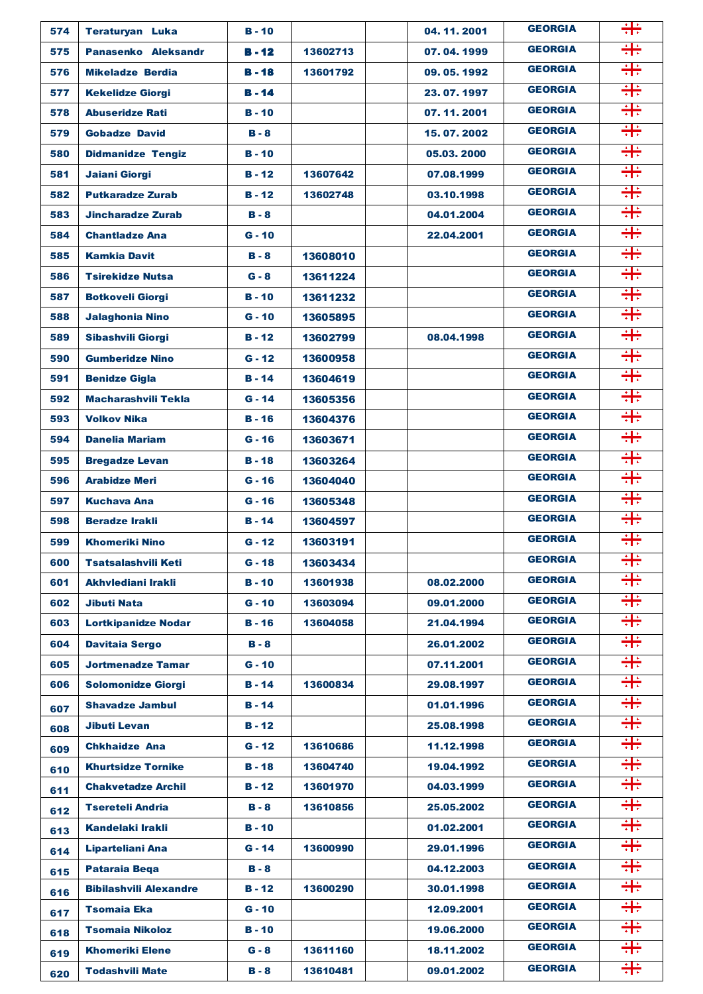| 574 | <b>Teraturyan Luka</b>        | $B - 10$      |          | 04.11.2001   | <b>GEORGIA</b> | ÷÷ |
|-----|-------------------------------|---------------|----------|--------------|----------------|----|
| 575 | Panasenko Aleksandr           | $B - 12$      | 13602713 | 07.04.1999   | <b>GEORGIA</b> | ╬  |
| 576 | <b>Mikeladze Berdia</b>       | $B - 18$      | 13601792 | 09, 05, 1992 | <b>GEORGIA</b> | ╬  |
| 577 | <b>Kekelidze Giorgi</b>       | <b>B</b> - 14 |          | 23, 07, 1997 | <b>GEORGIA</b> | ╬  |
| 578 | <b>Abuseridze Rati</b>        | $B - 10$      |          | 07.11.2001   | <b>GEORGIA</b> | ╬  |
| 579 | <b>Gobadze David</b>          | $B - 8$       |          | 15, 07, 2002 | <b>GEORGIA</b> | ╬  |
| 580 | <b>Didmanidze Tengiz</b>      | $B - 10$      |          | 05.03.2000   | <b>GEORGIA</b> | ╬  |
| 581 | Jaiani Giorgi                 | $B - 12$      | 13607642 | 07.08.1999   | <b>GEORGIA</b> | ╬  |
| 582 | <b>Putkaradze Zurab</b>       | $B - 12$      | 13602748 | 03.10.1998   | <b>GEORGIA</b> | ╬  |
| 583 | <b>Jincharadze Zurab</b>      | $B - 8$       |          | 04.01.2004   | <b>GEORGIA</b> | ╬  |
| 584 | <b>Chantladze Ana</b>         | $G - 10$      |          | 22.04.2001   | <b>GEORGIA</b> | ╬  |
| 585 | <b>Kamkia Davit</b>           | $B - 8$       | 13608010 |              | <b>GEORGIA</b> | ╬  |
| 586 | <b>Tsirekidze Nutsa</b>       | $G - 8$       | 13611224 |              | <b>GEORGIA</b> | ╬  |
| 587 | <b>Botkoveli Giorgi</b>       | $B - 10$      | 13611232 |              | <b>GEORGIA</b> | ╬  |
| 588 | <b>Jalaghonia Nino</b>        | $G - 10$      | 13605895 |              | <b>GEORGIA</b> | ╬  |
| 589 | Sibashvili Giorgi             | $B - 12$      | 13602799 | 08.04.1998   | <b>GEORGIA</b> | ╬  |
| 590 | <b>Gumberidze Nino</b>        | $G - 12$      | 13600958 |              | <b>GEORGIA</b> | ╬  |
| 591 | <b>Benidze Gigla</b>          | $B - 14$      | 13604619 |              | <b>GEORGIA</b> | ╬  |
| 592 | <b>Macharashvili Tekla</b>    | $G - 14$      | 13605356 |              | <b>GEORGIA</b> | ╬  |
| 593 | <b>Volkov Nika</b>            | $B - 16$      | 13604376 |              | <b>GEORGIA</b> | ╬  |
| 594 | <b>Danelia Mariam</b>         | $G - 16$      | 13603671 |              | <b>GEORGIA</b> | ╬  |
| 595 | <b>Bregadze Levan</b>         | $B - 18$      | 13603264 |              | <b>GEORGIA</b> | ╬  |
| 596 | <b>Arabidze Meri</b>          | $G - 16$      | 13604040 |              | <b>GEORGIA</b> | ╬  |
| 597 | <b>Kuchava Ana</b>            | $G - 16$      | 13605348 |              | <b>GEORGIA</b> | ╬  |
| 598 | <b>Beradze Irakli</b>         | $B - 14$      | 13604597 |              | <b>GEORGIA</b> | ╬  |
| 599 | <b>Khomeriki Nino</b>         | $G - 12$      | 13603191 |              | <b>GEORGIA</b> | ╬  |
| 600 | <b>Tsatsalashvili Keti</b>    | $G - 18$      | 13603434 |              | <b>GEORGIA</b> | ╬  |
| 601 | Akhvlediani Irakli            | <b>B</b> - 10 | 13601938 | 08.02.2000   | <b>GEORGIA</b> | ╬  |
| 602 | <b>Jibuti Nata</b>            | $G - 10$      | 13603094 | 09.01.2000   | <b>GEORGIA</b> | ╬  |
| 603 | <b>Lortkipanidze Nodar</b>    | $B - 16$      | 13604058 | 21.04.1994   | <b>GEORGIA</b> | ╬  |
| 604 | <b>Davitaia Sergo</b>         | $B - 8$       |          | 26.01.2002   | <b>GEORGIA</b> | ╬  |
| 605 | <b>Jortmenadze Tamar</b>      | $G - 10$      |          | 07.11.2001   | <b>GEORGIA</b> | ÷÷ |
| 606 | <b>Solomonidze Giorgi</b>     | $B - 14$      | 13600834 | 29.08.1997   | <b>GEORGIA</b> | ╬  |
| 607 | <b>Shavadze Jambul</b>        | <b>B</b> - 14 |          | 01.01.1996   | <b>GEORGIA</b> | ╬  |
| 608 | <b>Jibuti Levan</b>           | $B - 12$      |          | 25.08.1998   | <b>GEORGIA</b> | ╬  |
| 609 | <b>Chkhaidze Ana</b>          | $G - 12$      | 13610686 | 11.12.1998   | <b>GEORGIA</b> | ÷÷ |
| 610 | <b>Khurtsidze Tornike</b>     | $B - 18$      | 13604740 | 19.04.1992   | <b>GEORGIA</b> | ╬  |
| 611 | <b>Chakvetadze Archil</b>     | <b>B</b> - 12 | 13601970 | 04.03.1999   | <b>GEORGIA</b> | ╬  |
| 612 | <b>Tsereteli Andria</b>       | B - 8         | 13610856 | 25.05.2002   | <b>GEORGIA</b> | ╬  |
| 613 | <b>Kandelaki Irakli</b>       | $B - 10$      |          | 01.02.2001   | <b>GEORGIA</b> | ÷÷ |
| 614 | Liparteliani Ana              | $G - 14$      | 13600990 | 29.01.1996   | <b>GEORGIA</b> | ÷÷ |
| 615 | <b>Pataraia Bega</b>          | $B - 8$       |          | 04.12.2003   | <b>GEORGIA</b> | ╬  |
| 616 | <b>Bibilashvili Alexandre</b> | <b>B</b> - 12 | 13600290 | 30.01.1998   | <b>GEORGIA</b> | ╬  |
| 617 | <b>Tsomaia Eka</b>            | $G - 10$      |          | 12.09.2001   | <b>GEORGIA</b> | ╬  |
| 618 | <b>Tsomaia Nikoloz</b>        | $B - 10$      |          | 19.06.2000   | <b>GEORGIA</b> | ╬  |
| 619 | <b>Khomeriki Elene</b>        | G - 8         | 13611160 | 18.11.2002   | <b>GEORGIA</b> | ╬  |
| 620 | <b>Todashvili Mate</b>        | $B - 8$       | 13610481 | 09.01.2002   | <b>GEORGIA</b> | ╬  |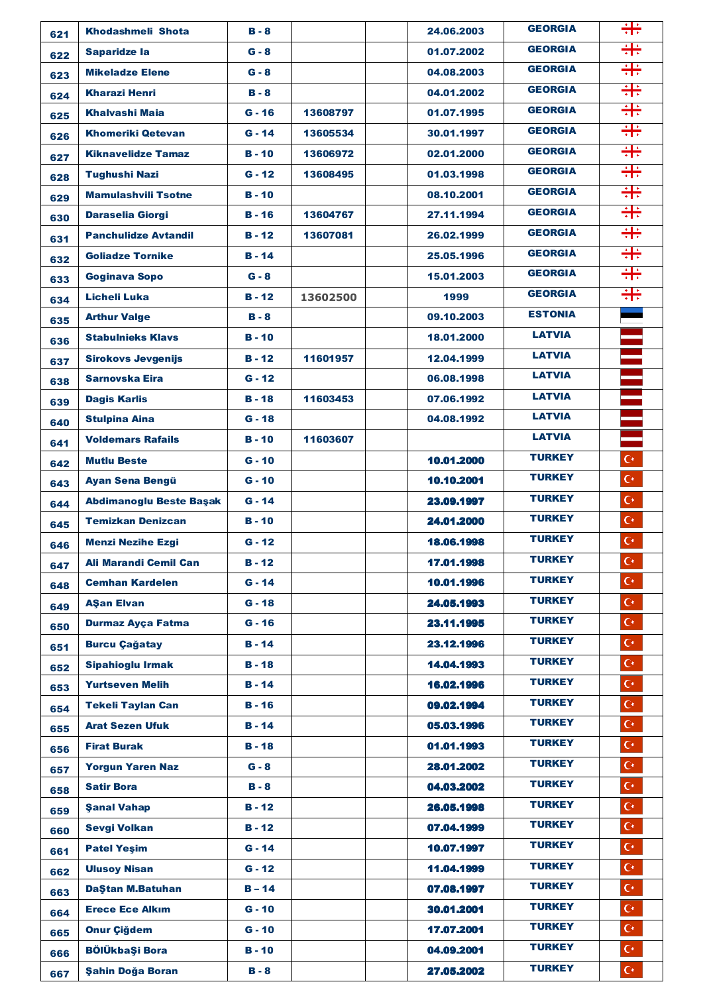| 621 | <b>Khodashmeli Shota</b>       | $B - 8$       |          | 24.06.2003 | <b>GEORGIA</b> | ╬                    |
|-----|--------------------------------|---------------|----------|------------|----------------|----------------------|
| 622 | <b>Saparidze la</b>            | $G - 8$       |          | 01.07.2002 | <b>GEORGIA</b> | ╬                    |
| 623 | <b>Mikeladze Elene</b>         | $G - 8$       |          | 04.08.2003 | <b>GEORGIA</b> | ╬                    |
| 624 | <b>Kharazi Henri</b>           | $B - 8$       |          | 04.01.2002 | <b>GEORGIA</b> | ╬                    |
| 625 | <b>Khalvashi Maja</b>          | $G - 16$      | 13608797 | 01.07.1995 | <b>GEORGIA</b> | ╬                    |
| 626 | <b>Khomeriki Qetevan</b>       | $G - 14$      | 13605534 | 30.01.1997 | <b>GEORGIA</b> | ╬                    |
| 627 | <b>Kiknavelidze Tamaz</b>      | $B - 10$      | 13606972 | 02.01.2000 | <b>GEORGIA</b> | ╬                    |
| 628 | <b>Tughushi Nazi</b>           | $G - 12$      | 13608495 | 01.03.1998 | <b>GEORGIA</b> | ╬                    |
| 629 | <b>Mamulashvili Tsotne</b>     | $B - 10$      |          | 08.10.2001 | <b>GEORGIA</b> | ╬                    |
| 630 | <b>Daraselia Giorgi</b>        | <b>B</b> - 16 | 13604767 | 27.11.1994 | <b>GEORGIA</b> | ╬                    |
| 631 | <b>Panchulidze Avtandil</b>    | $B - 12$      | 13607081 | 26.02.1999 | <b>GEORGIA</b> | ╬                    |
| 632 | <b>Goliadze Tornike</b>        | $B - 14$      |          | 25.05.1996 | <b>GEORGIA</b> | ╬                    |
| 633 | <b>Goginava Sopo</b>           | $G - 8$       |          | 15.01.2003 | <b>GEORGIA</b> | ╬                    |
| 634 | Licheli Luka                   | $B - 12$      | 13602500 | 1999       | <b>GEORGIA</b> | ₩                    |
| 635 | <b>Arthur Valge</b>            | $B - 8$       |          | 09.10.2003 | <b>ESTONIA</b> |                      |
| 636 | <b>Stabulnieks Klavs</b>       | $B - 10$      |          | 18.01.2000 | <b>LATVIA</b>  |                      |
| 637 | <b>Sirokovs Jevgenijs</b>      | <b>B</b> - 12 | 11601957 | 12.04.1999 | <b>LATVIA</b>  |                      |
| 638 | Sarnovska Eira                 | $G - 12$      |          | 06.08.1998 | <b>LATVIA</b>  |                      |
| 639 | <b>Dagis Karlis</b>            | $B - 18$      | 11603453 | 07.06.1992 | <b>LATVIA</b>  |                      |
| 640 | <b>Stulpina Aina</b>           | $G - 18$      |          | 04.08.1992 | <b>LATVIA</b>  |                      |
| 641 | <b>Voldemars Rafails</b>       | $B - 10$      | 11603607 |            | <b>LATVIA</b>  |                      |
| 642 | <b>Mutlu Beste</b>             | $G - 10$      |          | 10.01.2000 | <b>TURKEY</b>  | $C^*$                |
| 643 | <b>Ayan Sena Bengü</b>         | $G - 10$      |          | 10.10.2001 | <b>TURKEY</b>  | $C^*$                |
| 644 | <b>Abdimanoglu Beste Başak</b> | $G - 14$      |          | 23.09.1997 | <b>TURKEY</b>  | $C^*$                |
| 645 | <b>Temizkan Denizcan</b>       | <b>B</b> - 10 |          | 24.01.2000 | <b>TURKEY</b>  | $\mathsf{C}^{\star}$ |
| 646 | <b>Menzi Nezihe Ezgi</b>       | $G - 12$      |          | 18.06.1998 | <b>TURKEY</b>  | $C^*$                |
| 647 | <b>Ali Marandi Cemil Can</b>   | $B - 12$      |          | 17.01.1998 | <b>TURKEY</b>  | $C^*$                |
| 648 | <b>Cemhan Kardelen</b>         | $G - 14$      |          | 10.01.1996 | <b>TURKEY</b>  | $C^*$                |
| 649 | <b>AŞan Elvan</b>              | $G - 18$      |          | 24.05.1993 | <b>TURKEY</b>  | $C^*$                |
| 650 | <b>Durmaz Ayça Fatma</b>       | $G - 16$      |          | 23.11.1995 | <b>TURKEY</b>  | $C^*$                |
| 651 | <b>Burcu Çağatay</b>           | $B - 14$      |          | 23.12.1996 | <b>TURKEY</b>  | $C^*$                |
| 652 | <b>Sipahioglu Irmak</b>        | $B - 18$      |          | 14.04.1993 | <b>TURKEY</b>  | $C^*$                |
| 653 | <b>Yurtseven Melih</b>         | $B - 14$      |          | 16.02.1996 | <b>TURKEY</b>  | $C^*$                |
| 654 | <b>Tekeli Taylan Can</b>       | $B - 16$      |          | 09.02.1994 | <b>TURKEY</b>  | $C^*$                |
| 655 | <b>Arat Sezen Ufuk</b>         | $B - 14$      |          | 05.03.1996 | <b>TURKEY</b>  | $C^*$                |
| 656 | <b>Firat Burak</b>             | $B - 18$      |          | 01.01.1993 | <b>TURKEY</b>  | $C^*$                |
| 657 | <b>Yorgun Yaren Naz</b>        | $G - 8$       |          | 28.01.2002 | <b>TURKEY</b>  | $\mathbf{C}^{\star}$ |
| 658 | <b>Satir Bora</b>              | $B - 8$       |          | 04.03.2002 | <b>TURKEY</b>  | $C^*$                |
| 659 | <b>Sanal Vahap</b>             | $B - 12$      |          | 26.05.1998 | <b>TURKEY</b>  | $C^*$                |
| 660 | <b>Sevgi Volkan</b>            | $B - 12$      |          | 07.04.1999 | <b>TURKEY</b>  | $C^*$                |
| 661 | <b>Patel Yeşim</b>             | $G - 14$      |          | 10.07.1997 | <b>TURKEY</b>  | $C^*$                |
| 662 | <b>Ulusoy Nisan</b>            | $G - 12$      |          | 11.04.1999 | <b>TURKEY</b>  | $C^*$                |
| 663 | DaŞtan M.Batuhan               | $B - 14$      |          | 07.08.1997 | <b>TURKEY</b>  | $C^*$                |
| 664 | <b>Erece Ece Alkım</b>         | $G - 10$      |          | 30.01.2001 | <b>TURKEY</b>  | $C^*$                |
| 665 | <b>Onur Çiğdem</b>             | $G - 10$      |          | 17.07.2001 | <b>TURKEY</b>  | $C^*$                |
| 666 | <b>BÖlÜkbaŞi Bora</b>          | $B - 10$      |          | 04.09.2001 | <b>TURKEY</b>  | $C^*$                |
| 667 | Şahin Doğa Boran               | $B - 8$       |          | 27.05.2002 | <b>TURKEY</b>  | $\mathsf{C}^{\star}$ |